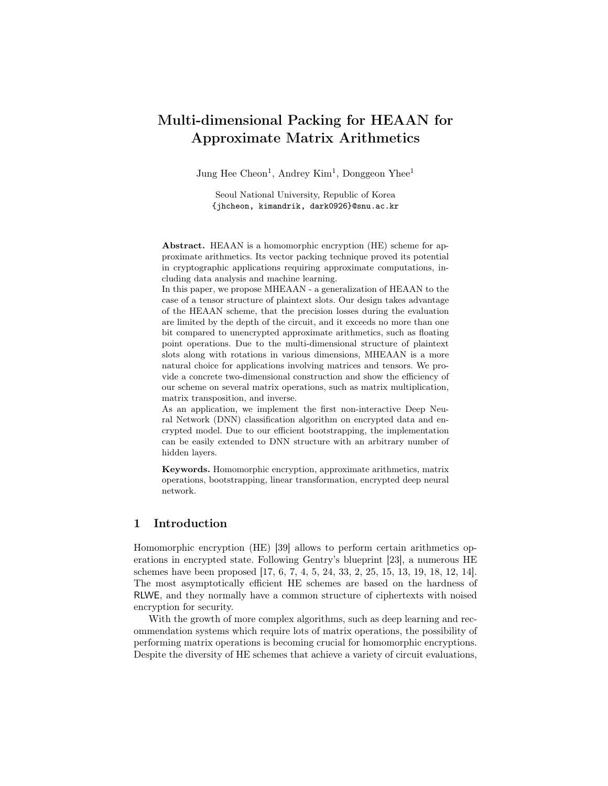# Multi-dimensional Packing for HEAAN for Approximate Matrix Arithmetics

Jung Hee Cheon<sup>1</sup>, Andrey Kim<sup>1</sup>, Donggeon Yhee<sup>1</sup>

Seoul National University, Republic of Korea {jhcheon, kimandrik, dark0926}@snu.ac.kr

Abstract. HEAAN is a homomorphic encryption (HE) scheme for approximate arithmetics. Its vector packing technique proved its potential in cryptographic applications requiring approximate computations, including data analysis and machine learning.

In this paper, we propose MHEAAN - a generalization of HEAAN to the case of a tensor structure of plaintext slots. Our design takes advantage of the HEAAN scheme, that the precision losses during the evaluation are limited by the depth of the circuit, and it exceeds no more than one bit compared to unencrypted approximate arithmetics, such as floating point operations. Due to the multi-dimensional structure of plaintext slots along with rotations in various dimensions, MHEAAN is a more natural choice for applications involving matrices and tensors. We provide a concrete two-dimensional construction and show the efficiency of our scheme on several matrix operations, such as matrix multiplication, matrix transposition, and inverse.

As an application, we implement the first non-interactive Deep Neural Network (DNN) classification algorithm on encrypted data and encrypted model. Due to our efficient bootstrapping, the implementation can be easily extended to DNN structure with an arbitrary number of hidden layers.

Keywords. Homomorphic encryption, approximate arithmetics, matrix operations, bootstrapping, linear transformation, encrypted deep neural network.

# 1 Introduction

Homomorphic encryption (HE) [39] allows to perform certain arithmetics operations in encrypted state. Following Gentry's blueprint [23], a numerous HE schemes have been proposed [17, 6, 7, 4, 5, 24, 33, 2, 25, 15, 13, 19, 18, 12, 14]. The most asymptotically efficient HE schemes are based on the hardness of RLWE, and they normally have a common structure of ciphertexts with noised encryption for security.

With the growth of more complex algorithms, such as deep learning and recommendation systems which require lots of matrix operations, the possibility of performing matrix operations is becoming crucial for homomorphic encryptions. Despite the diversity of HE schemes that achieve a variety of circuit evaluations,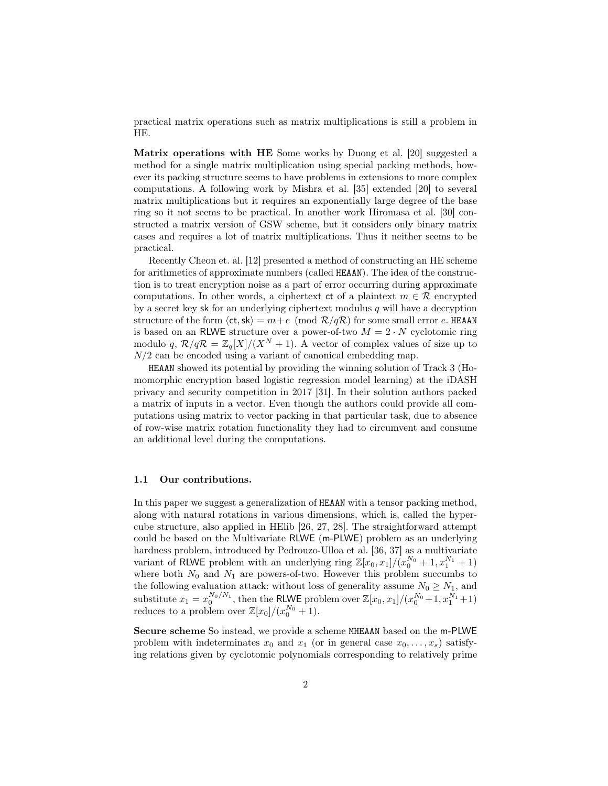practical matrix operations such as matrix multiplications is still a problem in HE.

Matrix operations with HE Some works by Duong et al. [20] suggested a method for a single matrix multiplication using special packing methods, however its packing structure seems to have problems in extensions to more complex computations. A following work by Mishra et al. [35] extended [20] to several matrix multiplications but it requires an exponentially large degree of the base ring so it not seems to be practical. In another work Hiromasa et al. [30] constructed a matrix version of GSW scheme, but it considers only binary matrix cases and requires a lot of matrix multiplications. Thus it neither seems to be practical.

Recently Cheon et. al. [12] presented a method of constructing an HE scheme for arithmetics of approximate numbers (called HEAAN). The idea of the construction is to treat encryption noise as a part of error occurring during approximate computations. In other words, a ciphertext ct of a plaintext  $m \in \mathcal{R}$  encrypted by a secret key sk for an underlying ciphertext modulus  $q$  will have a decryption structure of the form  $\langle ct, sk \rangle = m+e \pmod{\mathcal{R}/q\mathcal{R}}$  for some small error e. HEAAN is based on an RLWE structure over a power-of-two  $M = 2 \cdot N$  cyclotomic ring modulo q,  $\mathcal{R}/q\mathcal{R} = \mathbb{Z}_q[X]/(X^N + 1)$ . A vector of complex values of size up to  $N/2$  can be encoded using a variant of canonical embedding map.

HEAAN showed its potential by providing the winning solution of Track 3 (Homomorphic encryption based logistic regression model learning) at the iDASH privacy and security competition in 2017 [31]. In their solution authors packed a matrix of inputs in a vector. Even though the authors could provide all computations using matrix to vector packing in that particular task, due to absence of row-wise matrix rotation functionality they had to circumvent and consume an additional level during the computations.

#### 1.1 Our contributions.

In this paper we suggest a generalization of HEAAN with a tensor packing method, along with natural rotations in various dimensions, which is, called the hypercube structure, also applied in HElib [26, 27, 28]. The straightforward attempt could be based on the Multivariate RLWE (m-PLWE) problem as an underlying hardness problem, introduced by Pedrouzo-Ulloa et al. [36, 37] as a multivariate variant of RLWE problem with an underlying ring  $\mathbb{Z}[x_0, x_1]/(x_0^{N_0} + 1, x_1^{N_1} + 1)$ where both  $N_0$  and  $N_1$  are powers-of-two. However this problem succumbs to the following evaluation attack: without loss of generality assume  $N_0 \ge N_1$ , and substitute  $x_1 = x_0^{N_0/N_1}$ , then the RLWE problem over  $\mathbb{Z}[x_0, x_1]/(x_0^{N_0}+1, x_1^{N_1}+1)$ reduces to a problem over  $\mathbb{Z}[x_0]/(x_0^{N_0}+1)$ .

Secure scheme So instead, we provide a scheme MHEAAN based on the m-PLWE problem with indeterminates  $x_0$  and  $x_1$  (or in general case  $x_0, \ldots, x_s$ ) satisfying relations given by cyclotomic polynomials corresponding to relatively prime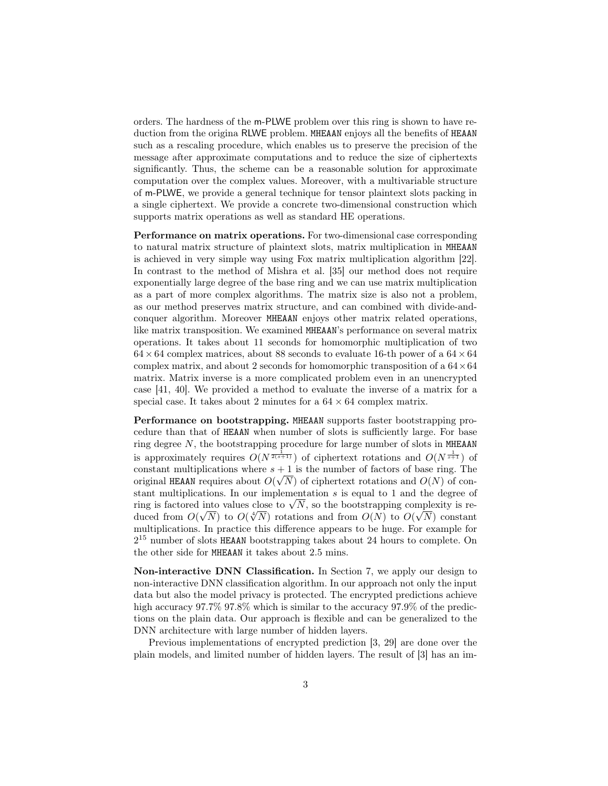orders. The hardness of the m-PLWE problem over this ring is shown to have reduction from the origina RLWE problem. MHEAAN enjoys all the benefits of HEAAN such as a rescaling procedure, which enables us to preserve the precision of the message after approximate computations and to reduce the size of ciphertexts significantly. Thus, the scheme can be a reasonable solution for approximate computation over the complex values. Moreover, with a multivariable structure of m-PLWE, we provide a general technique for tensor plaintext slots packing in a single ciphertext. We provide a concrete two-dimensional construction which supports matrix operations as well as standard HE operations.

Performance on matrix operations. For two-dimensional case corresponding to natural matrix structure of plaintext slots, matrix multiplication in MHEAAN is achieved in very simple way using Fox matrix multiplication algorithm [22]. In contrast to the method of Mishra et al. [35] our method does not require exponentially large degree of the base ring and we can use matrix multiplication as a part of more complex algorithms. The matrix size is also not a problem, as our method preserves matrix structure, and can combined with divide-andconquer algorithm. Moreover MHEAAN enjoys other matrix related operations, like matrix transposition. We examined MHEAAN's performance on several matrix operations. It takes about 11 seconds for homomorphic multiplication of two  $64 \times 64$  complex matrices, about 88 seconds to evaluate 16-th power of a  $64 \times 64$ complex matrix, and about 2 seconds for homomorphic transposition of a  $64 \times 64$ matrix. Matrix inverse is a more complicated problem even in an unencrypted case [41, 40]. We provided a method to evaluate the inverse of a matrix for a special case. It takes about 2 minutes for a  $64 \times 64$  complex matrix.

Performance on bootstrapping. MHEAAN supports faster bootstrapping procedure than that of HEAAN when number of slots is sufficiently large. For base ring degree  $N$ , the bootstrapping procedure for large number of slots in MHEAAN is approximately requires  $O(N^{\frac{1}{2(s+1)}})$  of ciphertext rotations and  $O(N^{\frac{1}{s+1}})$  of constant multiplications where  $s + 1$  is the number of factors of base ring. The original HEAAN requires about  $O(\sqrt{N})$  of ciphertext rotations and  $O(N)$  of constant multiplications. In our implementation s is equal to 1 and the degree of stant multiplications. In our implementation s is equal to 1 and the degree of<br>ring is factored into values close to  $\sqrt{N}$ , so the bootstrapping complexity is rering is factored into values close to  $\sqrt{N}$ , so the bootstrapping complexity is reduced from  $O(\sqrt{N})$  to  $O(\sqrt{N})$  rotations and from  $O(N)$  to  $O(\sqrt{N})$  constant multiplications. In practice this difference appears to be huge. For example for 2 <sup>15</sup> number of slots HEAAN bootstrapping takes about 24 hours to complete. On the other side for MHEAAN it takes about 2.5 mins.

Non-interactive DNN Classification. In Section 7, we apply our design to non-interactive DNN classification algorithm. In our approach not only the input data but also the model privacy is protected. The encrypted predictions achieve high accuracy  $97.7\%$   $97.8\%$  which is similar to the accuracy  $97.9\%$  of the predictions on the plain data. Our approach is flexible and can be generalized to the DNN architecture with large number of hidden layers.

Previous implementations of encrypted prediction [3, 29] are done over the plain models, and limited number of hidden layers. The result of [3] has an im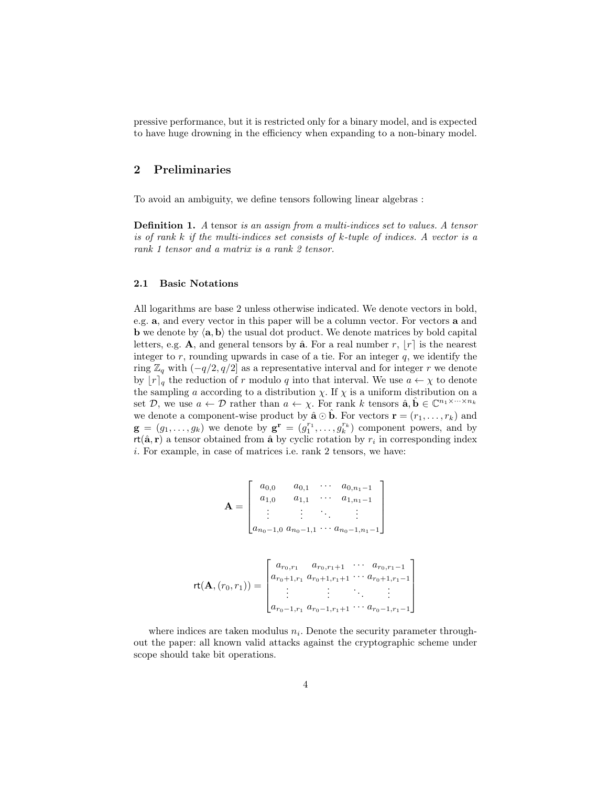pressive performance, but it is restricted only for a binary model, and is expected to have huge drowning in the efficiency when expanding to a non-binary model.

# 2 Preliminaries

To avoid an ambiguity, we define tensors following linear algebras :

Definition 1. A tensor is an assign from a multi-indices set to values. A tensor is of rank  $k$  if the multi-indices set consists of  $k$ -tuple of indices. A vector is a rank 1 tensor and a matrix is a rank 2 tensor.

### 2.1 Basic Notations

All logarithms are base 2 unless otherwise indicated. We denote vectors in bold, e.g. a, and every vector in this paper will be a column vector. For vectors a and **b** we denote by  $\langle \mathbf{a}, \mathbf{b} \rangle$  the usual dot product. We denote matrices by bold capital letters, e.g. A, and general tensors by  $\hat{\mathbf{a}}$ . For a real number r,  $|r|$  is the nearest integer to  $r$ , rounding upwards in case of a tie. For an integer  $q$ , we identify the ring  $\mathbb{Z}_q$  with  $(-q/2, q/2]$  as a representative interval and for integer r we denote by  $[r]_q$  the reduction of r modulo q into that interval. We use  $a \leftarrow \chi$  to denote the sampling a according to a distribution  $\chi$ . If  $\chi$  is a uniform distribution on a set  $\mathcal{D}$ , we use  $a \leftarrow \mathcal{D}$  rather than  $a \leftarrow \chi$ . For rank k tensors  $\hat{\mathbf{a}}, \hat{\mathbf{b}} \in \mathbb{C}^{n_1 \times \cdots \times n_k}$ we denote a component-wise product by  $\hat{\mathbf{a}} \odot \hat{\mathbf{b}}$ . For vectors  $\mathbf{r} = (r_1, \ldots, r_k)$  and  $\mathbf{g} = (g_1, \ldots, g_k)$  we denote by  $\mathbf{g}^{\mathbf{r}} = (g_1^{r_1}, \ldots, g_k^{r_k})$  component powers, and by  $rt(\hat{\mathbf{a}}, \mathbf{r})$  a tensor obtained from  $\hat{\mathbf{a}}$  by cyclic rotation by  $r_i$  in corresponding index i. For example, in case of matrices i.e. rank 2 tensors, we have:

$$
\mathbf{A} = \begin{bmatrix} a_{0,0} & a_{0,1} & \cdots & a_{0,n_1-1} \\ a_{1,0} & a_{1,1} & \cdots & a_{1,n_1-1} \\ \vdots & \vdots & \ddots & \vdots \\ a_{n_0-1,0} & a_{n_0-1,1} & \cdots & a_{n_0-1,n_1-1} \end{bmatrix}
$$

$$
\mathsf{rt}(\mathbf{A}, (r_0, r_1)) = \begin{bmatrix} a_{r_0, r_1} & a_{r_0, r_1+1} & \cdots & a_{r_0, r_1-1} \\ a_{r_0+1, r_1} & a_{r_0+1, r_1+1} & \cdots & a_{r_0+1, r_1-1} \\ \vdots & \vdots & \ddots & \vdots \\ a_{r_0-1, r_1} & a_{r_0-1, r_1+1} & \cdots & a_{r_0-1, r_1-1} \end{bmatrix}
$$

where indices are taken modulus  $n_i$ . Denote the security parameter throughout the paper: all known valid attacks against the cryptographic scheme under scope should take bit operations.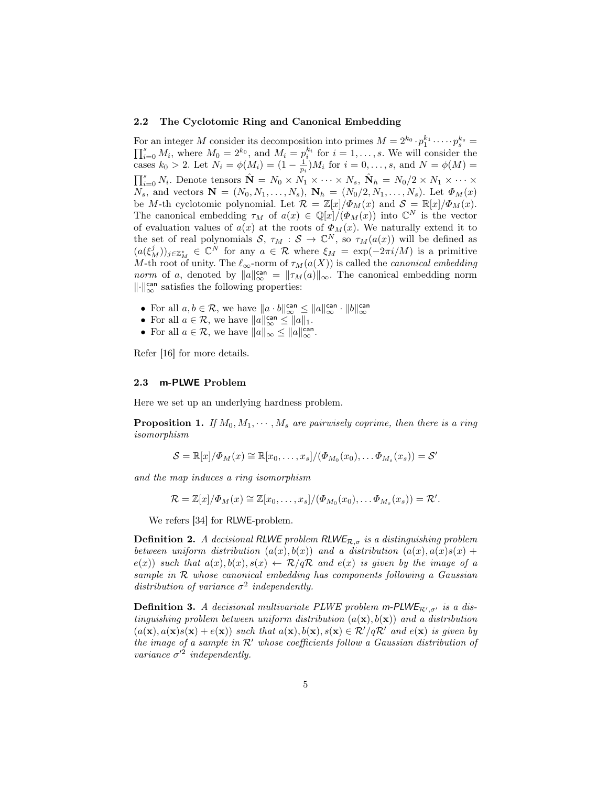#### 2.2 The Cyclotomic Ring and Canonical Embedding

For an integer M consider its decomposition into primes  $M = 2^{k_0} \cdot p_1^{k_1} \cdot \dots \cdot p_s^{k_s}$ For an integer M consider its decomposition into primes  $M = 2^{k_0} \cdot p_1^{k_1} \cdot \dots \cdot p_s^{k_s} = \prod_{i=0}^s M_i$ , where  $M_0 = 2^{k_0}$ , and  $M_i = p_i^{k_i}$  for  $i = 1, \dots, s$ . We will consider the cases  $k_0 > 2$ . Let  $N_i = \phi(M_i) = (1 - \frac{1}{p_i})M_i$  for  $i = 0, ..., s$ , and  $N = \phi(M) =$  $\prod_{i=0}^{s} N_i$ . Denote tensors  $\hat{\mathbf{N}} = N_0 \times N_1 \times \cdots \times N_s$ ,  $\hat{\mathbf{N}}_h = N_0/2 \times N_1 \times \cdots \times N_s$  $N_s$ , and vectors  $N = (N_0, N_1, \ldots, N_s)$ ,  $N_h = (N_0/2, N_1, \ldots, N_s)$ . Let  $\Phi_M(x)$ be M-th cyclotomic polynomial. Let  $\mathcal{R} = \mathbb{Z}[x]/\Phi_M(x)$  and  $\mathcal{S} = \mathbb{R}[x]/\Phi_M(x)$ . The canonical embedding  $\tau_M$  of  $a(x) \in \mathbb{Q}[x]/(\Phi_M(x))$  into  $\mathbb{C}^N$  is the vector of evaluation values of  $a(x)$  at the roots of  $\Phi_M(x)$ . We naturally extend it to the set of real polynomials  $S, \tau_M : S \to \mathbb{C}^N$ , so  $\tau_M(a(x))$  will be defined as  $(a(\xi^j_M))_{j\in\mathbb{Z}^*_M} \in \mathbb{C}^N$  for any  $a \in \mathcal{R}$  where  $\xi_M = \exp(-2\pi i/M)$  is a primitive M-th root of unity. The  $\ell_{\infty}$ -norm of  $\tau_M(a(X))$  is called the *canonical embedding norm* of a, denoted by  $||a||_{\infty}^{\text{can}} = ||\tau_M(a)||_{\infty}$ . The canonical embedding norm  $\lVert \cdot \rVert_{\infty}^{\text{can}}$  satisfies the following properties:

- For all  $a, b \in \mathcal{R}$ , we have  $||a \cdot b||_{\infty}^{\text{can}} \le ||a||_{\infty}^{\text{can}} \cdot ||b||_{\infty}^{\text{can}}$
- For all  $a \in \mathcal{R}$ , we have  $||a||_{\infty}^{\text{can}} \le ||a||_1$ .
- For all  $a \in \mathcal{R}$ , we have  $||a||_{\infty} \le ||a||_{\infty}^{\text{can}}$ .

Refer [16] for more details.

#### 2.3 m-PLWE Problem

Here we set up an underlying hardness problem.

**Proposition 1.** If  $M_0, M_1, \cdots, M_s$  are pairwisely coprime, then there is a ring isomorphism

$$
\mathcal{S} = \mathbb{R}[x]/\Phi_M(x) \cong \mathbb{R}[x_0,\ldots,x_s]/(\Phi_{M_0}(x_0),\ldots,\Phi_{M_s}(x_s)) = \mathcal{S}'
$$

and the map induces a ring isomorphism

$$
\mathcal{R} = \mathbb{Z}[x]/\Phi_M(x) \cong \mathbb{Z}[x_0,\ldots,x_s]/(\Phi_{M_0}(x_0),\ldots\Phi_{M_s}(x_s)) = \mathcal{R}'.
$$

We refers [34] for RLWE-problem.

**Definition 2.** A decisional RLWE problem RLWE<sub>R, $\sigma$ </sub> is a distinguishing problem between uniform distribution  $(a(x), b(x))$  and a distribution  $(a(x), a(x)s(x) +$  $e(x)$  such that  $a(x), b(x), s(x) \leftarrow \mathcal{R}/q\mathcal{R}$  and  $e(x)$  is given by the image of a sample in R whose canonical embedding has components following a Gaussian distribution of variance  $\sigma^2$  independently.

**Definition 3.** A decisional multivariate PLWE problem m-PLWE<sub>R', $\sigma$ ' is a dis-</sub> tinguishing problem between uniform distribution  $(a(\mathbf{x}), b(\mathbf{x}))$  and a distribution  $(a(\mathbf{x}), a(\mathbf{x})s(\mathbf{x}) + e(\mathbf{x}))$  such that  $a(\mathbf{x}), b(\mathbf{x}), s(\mathbf{x}) \in \mathcal{R}'/q\mathcal{R}'$  and  $e(\mathbf{x})$  is given by the image of a sample in  $\mathcal{R}'$  whose coefficients follow a Gaussian distribution of variance  $\sigma^2$  independently.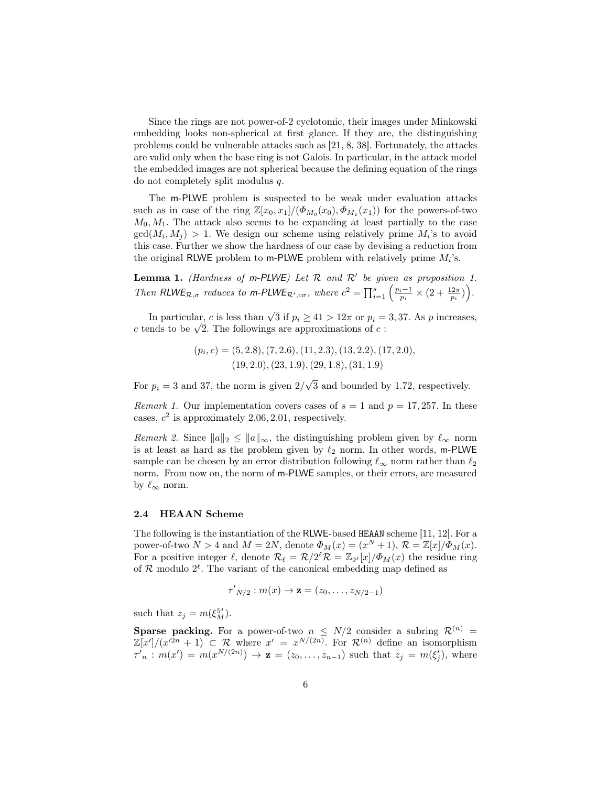Since the rings are not power-of-2 cyclotomic, their images under Minkowski embedding looks non-spherical at first glance. If they are, the distinguishing problems could be vulnerable attacks such as [21, 8, 38]. Fortunately, the attacks are valid only when the base ring is not Galois. In particular, in the attack model the embedded images are not spherical because the defining equation of the rings do not completely split modulus q.

The m-PLWE problem is suspected to be weak under evaluation attacks such as in case of the ring  $\mathbb{Z}[x_0, x_1]/(\Phi_{M_0}(x_0), \Phi_{M_1}(x_1))$  for the powers-of-two  $M_0, M_1$ . The attack also seems to be expanding at least partially to the case  $gcd(M_i, M_j) > 1$ . We design our scheme using relatively prime  $M_i$ 's to avoid this case. Further we show the hardness of our case by devising a reduction from the original RLWE problem to  $m$ -PLWE problem with relatively prime  $M_i$ 's.

**Lemma 1.** (Hardness of m-PLWE) Let  $\mathcal{R}$  and  $\mathcal{R}'$  be given as proposition 1. Then RLWE<sub>R, $\sigma$ </sub> reduces to m-PLWE<sub>R',c $\sigma$ </sub>, where  $c^2 = \prod_{i=1}^s \left( \frac{p_i-1}{p_i} \times (2 + \frac{12\pi}{p_i}) \right)$ .

In particular, c is less than  $\sqrt{3}$  if  $p_i \ge 41 > 12\pi$  or  $p_i = 3, 37$ . As p increases, In particular, c is less than  $\sqrt{3}$  if  $p_i \ge 41 > 12\pi$  or  $p_i = c$  tends to be  $\sqrt{2}$ . The followings are approximations of c :

$$
(p_i, c) = (5, 2.8), (7, 2.6), (11, 2.3), (13, 2.2), (17, 2.0), (19, 2.0), (23, 1.9), (29, 1.8), (31, 1.9)
$$

For  $p_i = 3$  and 37, the norm is given  $2/$ √ 3 and bounded by 1.72, respectively.

*Remark 1.* Our implementation covers cases of  $s = 1$  and  $p = 17,257$ . In these cases,  $c^2$  is approximately 2.06, 2.01, respectively.

*Remark 2.* Since  $||a||_2 \le ||a||_{\infty}$ , the distinguishing problem given by  $\ell_{\infty}$  norm is at least as hard as the problem given by  $\ell_2$  norm. In other words, m-PLWE sample can be chosen by an error distribution following  $\ell_{\infty}$  norm rather than  $\ell_2$ norm. From now on, the norm of m-PLWE samples, or their errors, are measured by  $\ell_{\infty}$  norm.

### 2.4 HEAAN Scheme

The following is the instantiation of the RLWE-based HEAAN scheme [11, 12]. For a power-of-two  $N > 4$  and  $M = 2N$ , denote  $\Phi_M(x) = (x^N + 1), \mathcal{R} = \mathbb{Z}[x]/\Phi_M(x)$ . For a positive integer  $\ell$ , denote  $\mathcal{R}_{\ell} = \mathcal{R}/2^{\ell} \mathcal{R} = \mathbb{Z}_{2^{\ell}}[x]/\Phi_M(x)$  the residue ring of  $\mathcal R$  modulo  $2^{\ell}$ . The variant of the canonical embedding map defined as

$$
\tau'_{N/2}: m(x) \to \mathbf{z} = (z_0, \ldots, z_{N/2-1})
$$

such that  $z_j = m(\xi_M^{5^j})$ .

**Sparse packing.** For a power-of-two  $n \leq N/2$  consider a subring  $\mathcal{R}^{(n)}$  =  $\mathbb{Z}[x']/ (x'^{2n} + 1) \subset \mathcal{R}$  where  $x' = x^{N/(2n)}$ . For  $\mathcal{R}^{(n)}$  define an isomorphism  $\tau'_{n} : m(x') = m(x^{N/(2n)}) \to \mathbf{z} = (z_0, \ldots, z_{n-1})$  such that  $z_j = m(\xi'_j)$ , where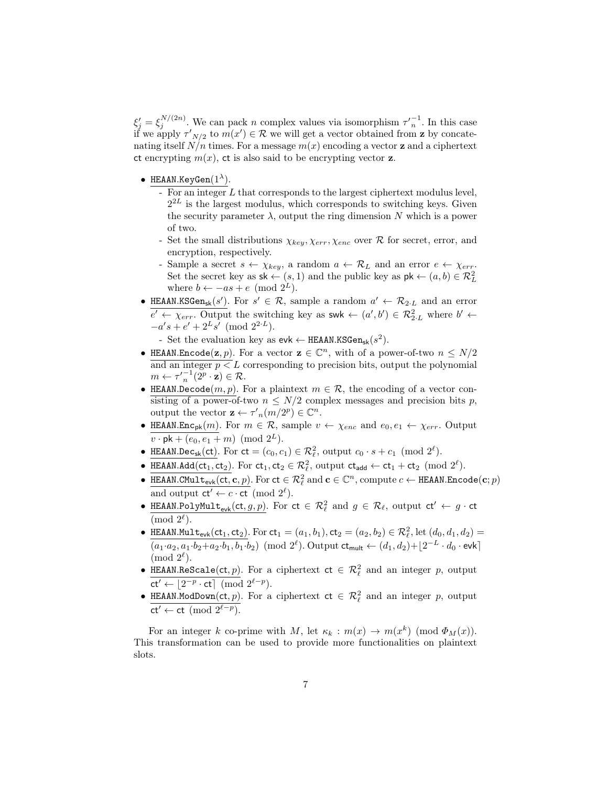$\xi_j' = \xi_j^{N/(2n)}$ . We can pack n complex values via isomorphism  $\tau_n'^{-1}$ . In this case if we apply  $\tau'_{N/2}$  to  $m(x') \in \mathcal{R}$  we will get a vector obtained from **z** by concatenating itself  $N/n$  times. For a message  $m(x)$  encoding a vector **z** and a ciphertext ct encrypting  $m(x)$ , ct is also said to be encrypting vector **z**.

- HEAAN.KeyGen $(1^{\lambda})$ .
	- For an integer  $L$  that corresponds to the largest ciphertext modulus level,  $2^{2L}$  is the largest modulus, which corresponds to switching keys. Given the security parameter  $\lambda$ , output the ring dimension N which is a power of two.
	- Set the small distributions  $\chi_{key}, \chi_{err}, \chi_{enc}$  over  $\mathcal{R}$  for secret, error, and encryption, respectively.
	- Sample a secret  $s \leftarrow \chi_{key}$ , a random  $a \leftarrow \mathcal{R}_L$  and an error  $e \leftarrow \chi_{err}$ . Set the secret key as  $\mathsf{sk} \leftarrow (s, 1)$  and the public key as  $\mathsf{pk} \leftarrow (a, b) \in \mathcal{R}_L^2$ where  $b \leftarrow -as + e \pmod{2^L}$ .
- HEAAN.KSGen<sub>sk</sub> $(s')$ . For  $s' \in \mathcal{R}$ , sample a random  $a' \leftarrow \mathcal{R}_{2\cdot L}$  and an error  $e' \leftarrow \chi_{err}$ . Output the switching key as swk  $\leftarrow (a', b') \in \mathcal{R}_{2,L}^2$  where  $b' \leftarrow$  $-a's + e' + 2^L s' \pmod{2^{2\cdot L}}.$

- Set the evaluation key as  $evk \leftarrow \text{HEAAN.KSGen}_{sk}(s^2)$ .

- HEAAN.Encode $(z, p)$ . For a vector  $z \in \mathbb{C}^n$ , with of a power-of-two  $n \leq N/2$ and an integer  $p \leq L$  corresponding to precision bits, output the polynomial  $m \leftarrow \tau'_{n}^{-1}(\widetilde{2}^{p} \cdot \mathbf{z}) \in \mathcal{R}.$
- HEAAN.Decode $(m, p)$ . For a plaintext  $m \in \mathcal{R}$ , the encoding of a vector consisting of a power-of-two  $n \leq N/2$  complex messages and precision bits p, output the vector  $\mathbf{z} \leftarrow \tau'_{n}(m/2^{p}) \in \mathbb{C}^{n}$ .
- HEAAN.Enc<sub>pk</sub> $(m)$ . For  $m \in \mathcal{R}$ , sample  $v \leftarrow \chi_{enc}$  and  $e_0, e_1 \leftarrow \chi_{err}$ . Output  $v \cdot pk + (e_0, e_1 + m) \pmod{2^L}$ .
- HEAAN.Dec<sub>sk</sub>(ct). For  $ct = (c_0, c_1) \in \mathcal{R}_{\ell}^2$ , output  $c_0 \cdot s + c_1 \pmod{2^{\ell}}$ .
- HEAAN.Add(ct<sub>1</sub>, ct<sub>2</sub>). For ct<sub>1</sub>, ct<sub>2</sub>  $\in \mathcal{R}_{\ell}^2$ , output ct<sub>add</sub>  $\leftarrow$  ct<sub>1</sub> + ct<sub>2</sub> (mod  $2^{\ell}$ ).
- HEAAN.CMult<sub>evk</sub>(ct, c, p). For  $ct \in \mathcal{R}_{\ell}^2$  and  $\mathbf{c} \in \mathbb{C}^n$ , compute  $c \leftarrow$  HEAAN.Encode(c; p) and output  $ct' \leftarrow c \cdot ct \pmod{2^{\ell}}$ .
- HEAAN.PolyMult<sub>evk</sub>(ct, g, p). For  $ct \in \mathcal{R}_{\ell}^2$  and  $g \in \mathcal{R}_{\ell}$ , output  $ct' \leftarrow g \cdot ct$  $\pmod{2^{\ell}}$ .
- HEAAN.Mult<sub>evk</sub>(ct<sub>1</sub>, ct<sub>2</sub>). For ct<sub>1</sub> =  $(a_1, b_1)$ , ct<sub>2</sub> =  $(a_2, b_2) \in \mathcal{R}_{\ell}^2$ , let  $(d_0, d_1, d_2)$  =  $(a_1 \cdot a_2, a_1 \cdot b_2 + a_2 \cdot b_1, b_1 \cdot b_2) \pmod{2^{\ell}}$ . Output  $ct_{\mathsf{mult}} \leftarrow (d_1, d_2) + \lfloor 2^{-L} \cdot d_0 \cdot \mathsf{evk} \rceil$  $\pmod{2^{\ell}}$ .
- HEAAN.ReScale(ct, p). For a ciphertext  $ct \in \mathcal{R}_{\ell}^2$  and an integer p, output  $ct' \leftarrow \lfloor 2^{-p} \cdot ct \rfloor \pmod{2^{\ell-p}}.$
- HEAAN.ModDown(ct, p). For a ciphertext  $ct \in \mathcal{R}_{\ell}^2$  and an integer p, output ct' ← ct (mod  $2^{\ell-p}$ ).

For an integer k co-prime with M, let  $\kappa_k : m(x) \to m(x^k) \pmod{\Phi_M(x)}$ . This transformation can be used to provide more functionalities on plaintext slots.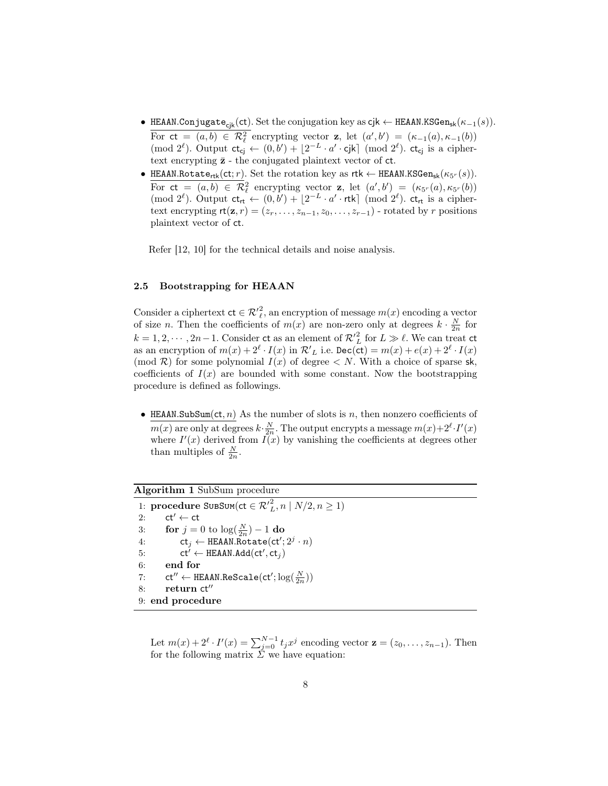- HEAAN.Conjugate<sub>cik</sub>(ct). Set the conjugation key as  $cjk \leftarrow$  HEAAN.KSGen<sub>sk</sub>( $\kappa_{-1}(s)$ ). For  $ct = (a, b) \in \mathcal{R}_{\ell}^2$  encrypting vector  $z$ , let  $(a', b') = (\kappa_{-1}(a), \kappa_{-1}(b))$ (mod  $2^{\ell}$ ). Output  $ct_{cj} \leftarrow (0, b') + \lfloor 2^{-L} \cdot a' \cdot cj \rfloor$  (mod  $2^{\ell}$ ).  $ct_{cj}$  is a ciphertext encrypting  $\bar{z}$  - the conjugated plaintext vector of  $ct$ .
- HEAAN.Rotate<sub>rtk</sub>(ct; *r*). Set the rotation key as  $r$ tk  $\leftarrow$  HEAAN.KSGen<sub>sk</sub>( $\kappa_{5^r}(s)$ ). For  $ct = (a, b) \in \mathcal{R}_{\ell}^2$  encrypting vector **z**, let  $(a', b') = (\kappa_{5^r}(a), \kappa_{5^r}(b))$ (mod  $2^{\ell}$ ). Output  $ct_{rt} \leftarrow (0, b') + \lfloor 2^{-L} \cdot a' \cdot r$ tk] (mod  $2^{\ell}$ ).  $ct_{rt}$  is a ciphertext encrypting  $rt(\mathbf{z}, r) = (z_r, \ldots, z_{n-1}, z_0, \ldots, z_{r-1})$  - rotated by r positions plaintext vector of ct.

Refer [12, 10] for the technical details and noise analysis.

# 2.5 Bootstrapping for HEAAN

Consider a ciphertext  $ct \in \mathcal{R}'^2_{\ell}$ , an encryption of message  $m(x)$  encoding a vector of size *n*. Then the coefficients of  $m(x)$  are non-zero only at degrees  $k \cdot \frac{N}{2n}$  for  $k = 1, 2, \dots, 2n - 1$ . Consider ct as an element of  $\mathcal{R'}_L^2$  for  $L \gg \ell$ . We can treat ct as an encryption of  $m(x) + 2^{\ell} \cdot I(x)$  in  $\mathcal{R'}_L$  i.e.  $\texttt{Dec}(\texttt{ct}) = m(x) + e(x) + 2^{\ell} \cdot I(x)$ (mod  $\mathcal{R}$ ) for some polynomial  $I(x)$  of degree  $\lt N$ . With a choice of sparse sk, coefficients of  $I(x)$  are bounded with some constant. Now the bootstrapping procedure is defined as followings.

• HEAAN.SubSum(ct, n) As the number of slots is n, then nonzero coefficients of  $m(x)$  are only at degrees  $k \cdot \frac{N}{2n}$ . The output encrypts a message  $m(x) + 2^{\ell} \cdot I'(x)$ where  $I'(x)$  derived from  $\overline{I(x)}$  by vanishing the coefficients at degrees other than multiples of  $\frac{N}{2n}$ .

# Algorithm 1 SubSum procedure

1: procedure SubSum(ct  $\in \mathcal{R'}_L^2, n \mid N/2, n \geq 1)$ 2:  $ct' \leftarrow ct$ 3: **for**  $j = 0$  to  $\log(\frac{N}{2n}) - 1$  **do** 4:  $ct_j \leftarrow \text{HEAAN.Ro}'\text{tate}(\text{ct}'; 2^j \cdot n)$ 5:  $ct' \leftarrow \text{HEAAN.Add}(ct', ct_j)$ 6: end for 7: ct" ← HEAAN.ReScale(ct';  $\log(\frac{N}{2n})$ )  $8:$  return  $ct''$ 9: end procedure

Let  $m(x) + 2^{\ell} \cdot I'(x) = \sum_{j=0}^{N-1} t_j x^j$  encoding vector  $\mathbf{z} = (z_0, \ldots, z_{n-1})$ . Then for the following matrix  $\Sigma$  we have equation: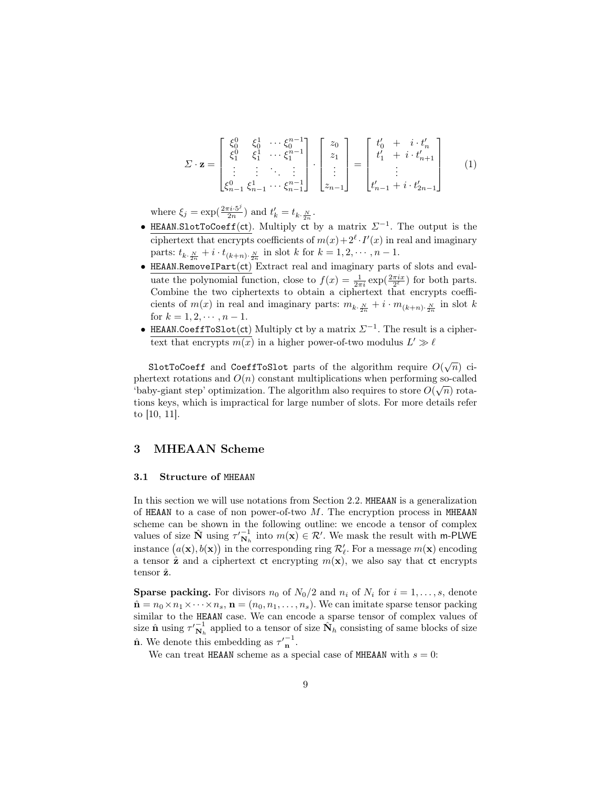$$
\Sigma \cdot \mathbf{z} = \begin{bmatrix} \xi_0^0 & \xi_0^1 & \cdots & \xi_0^{n-1} \\ \xi_1^0 & \xi_1^1 & \cdots & \xi_1^{n-1} \\ \vdots & \vdots & \ddots & \vdots \\ \xi_{n-1}^0 & \xi_{n-1}^1 & \cdots & \xi_{n-1}^{n-1} \end{bmatrix} \cdot \begin{bmatrix} z_0 \\ z_1 \\ \vdots \\ z_{n-1} \end{bmatrix} = \begin{bmatrix} t'_0 + i \cdot t'_n \\ t'_1 + i \cdot t'_{n+1} \\ \vdots \\ t'_{n-1} + i \cdot t'_{2n-1} \end{bmatrix}
$$
 (1)

where  $\xi_j = \exp(\frac{2\pi i \cdot 5^j}{2n})$  $\frac{\tau i \cdot 5^j}{2n}$  and  $t'_k = t_{k \cdot \frac{N}{2n}}$ .

- HEAAN.SlotToCoeff(ct). Multiply ct by a matrix  $\Sigma^{-1}$ . The output is the ciphertext that encrypts coefficients of  $m(x) + 2^{\ell} \cdot I'(x)$  in real and imaginary parts:  $t_{k, \frac{N}{2n}} + i \cdot t_{(k+n) \cdot \frac{N}{2n}}$  in slot k for  $k = 1, 2, \dots, n - 1$ .
- HEAAN.RemoveIPart(ct) Extract real and imaginary parts of slots and evaluate the polynomial function, close to  $f(x) = \frac{1}{2\pi i} \exp(\frac{2\pi ix}{2^{\ell}})$  for both parts. Combine the two ciphertexts to obtain a ciphertext that encrypts coefficients of  $m(x)$  in real and imaginary parts:  $m_{k \cdot \frac{N}{2n}} + i \cdot m_{(k+n) \cdot \frac{N}{2n}}$  in slot k for  $k = 1, 2, \dots, n - 1$ .
- HEAAN.CoeffToSlot(ct) Multiply ct by a matrix  $\Sigma^{-1}$ . The result is a ciphertext that encrypts  $m(x)$  in a higher power-of-two modulus  $L' \gg \ell$

SlotToCoeff and CoeffToSlot parts of the algorithm require  $O(\sqrt{n})$  ciphertext rotations and  $O(n)$  constant multiplications when performing so-called 'baby-giant step' optimization. The algorithm also requires to store  $O(\sqrt{n})$  rotations keys, which is impractical for large number of slots. For more details refer to [10, 11].

# 3 MHEAAN Scheme

### 3.1 Structure of MHEAAN

In this section we will use notations from Section 2.2. MHEAAN is a generalization of HEAAN to a case of non power-of-two  $M$ . The encryption process in MHEAAN scheme can be shown in the following outline: we encode a tensor of complex values of size  $\hat{\mathbf{N}}$  using  $\tau_{\mathbf{N}_h}^{-1}$  into  $m(\mathbf{x}) \in \mathcal{R}'$ . We mask the result with m-PLWE instance  $(a(\mathbf{x}), b(\mathbf{x}))$  in the corresponding ring  $\mathcal{R}'_{\ell}$ . For a message  $m(\mathbf{x})$  encoding a tensor  $\hat{z}$  and a ciphertext ct encrypting  $m(x)$ , we also say that ct encrypts tensor  $\hat{z}$ .

**Sparse packing.** For divisors  $n_0$  of  $N_0/2$  and  $n_i$  of  $N_i$  for  $i = 1, \ldots, s$ , denote  $\hat{\mathbf{n}} = n_0 \times n_1 \times \cdots \times n_s$ ,  $\mathbf{n} = (n_0, n_1, \ldots, n_s)$ . We can imitate sparse tensor packing similar to the HEAAN case. We can encode a sparse tensor of complex values of size  $\hat{\mathbf{n}}$  using  $\tau'_{\mathbf{N}_h}^{-1}$  applied to a tensor of size  $\hat{\mathbf{N}}_h$  consisting of same blocks of size  $\hat{\mathbf{n}}$ . We denote this embedding as  $\tau'_{\mathbf{n}}^{-1}$ .

We can treat HEAAN scheme as a special case of MHEAAN with  $s = 0$ :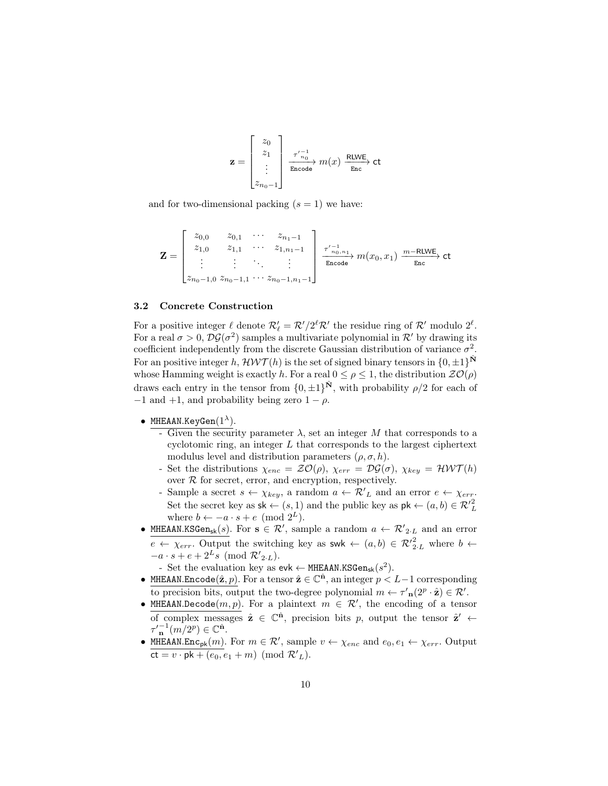$$
\mathbf{z} = \begin{bmatrix} z_0 \\ z_1 \\ \vdots \\ z_{n_0-1} \end{bmatrix} \xrightarrow[\text{Encode}]{\tau_{n_0}^{\prime -1}} m(x) \xrightarrow[\text{Enc}]{\text{RLWE}} \text{ct}
$$

and for two-dimensional packing  $(s = 1)$  we have:

$$
\mathbf{Z} = \begin{bmatrix} z_{0,0} & z_{0,1} & \cdots & z_{n_1-1} \\ z_{1,0} & z_{1,1} & \cdots & z_{1,n_1-1} \\ \vdots & \vdots & \ddots & \vdots \\ z_{n_0-1,0} & z_{n_0-1,1} & \cdots & z_{n_0-1,n_1-1} \end{bmatrix} \xrightarrow[\text{Encode}]{\tau'^{-1}_{n_0,n_1}} m(x_0, x_1) \xrightarrow[m-\text{RLWE}]{m-\text{RLWE}} \text{ct}
$$

#### 3.2 Concrete Construction

For a positive integer  $\ell$  denote  $\mathcal{R}'_l = \mathcal{R}'/2^{\ell} \mathcal{R}'$  the residue ring of  $\mathcal{R}'$  modulo  $2^{\ell}$ . For a real  $\sigma > 0$ ,  $\mathcal{DG}(\sigma^2)$  samples a multivariate polynomial in  $\mathcal{R}'$  by drawing its coefficient independently from the discrete Gaussian distribution of variance  $\sigma^2$ . For an positive integer h,  $\mathcal{HWT}(h)$  is the set of signed binary tensors in  $\{0, \pm 1\}^{\tilde{\mathbf{N}}}$ whose Hamming weight is exactly h. For a real  $0 \leq \rho \leq 1$ , the distribution  $\mathcal{ZO}(\rho)$ draws each entry in the tensor from  $\{0, \pm 1\}^{\hat{N}}$ , with probability  $\rho/2$  for each of  $-1$  and  $+1$ , and probability being zero  $1 - \rho$ .

- MHEAAN.KeyGen $(1^{\lambda})$ .
	- Given the security parameter  $\lambda$ , set an integer M that corresponds to a cyclotomic ring, an integer L that corresponds to the largest ciphertext modulus level and distribution parameters  $(\rho, \sigma, h)$ .
	- Set the distributions  $\chi_{enc} = \mathcal{ZO}(\rho)$ ,  $\chi_{err} = \mathcal{DG}(\sigma)$ ,  $\chi_{key} = \mathcal{HWT}(h)$ over  $R$  for secret, error, and encryption, respectively.
	- Sample a secret  $s \leftarrow \chi_{key}$ , a random  $a \leftarrow \mathcal{R'}_L$  and an error  $e \leftarrow \chi_{err}$ . Set the secret key as  $\mathsf{sk} \leftarrow (s, 1)$  and the public key as  $\mathsf{pk} \leftarrow (a, b) \in \mathcal{R}'^2_L$ where  $b \leftarrow -a \cdot s + e \pmod{2^L}$ .
- MHEAAN.KSGen<sub>sk</sub>(s). For  $s \in \mathcal{R}'$ , sample a random  $a \leftarrow \mathcal{R}'_{2,L}$  and an error  $e \leftarrow \chi_{err}$ . Output the switching key as swk  $\leftarrow (a, b) \in \mathcal{R'}_{2 \cdot L}^2$  where  $b \leftarrow$  $-a \cdot s + e + 2^L s \pmod{\mathcal{R'}_{2\cdot L}}.$

- Set the evaluation key as  $evk \leftarrow \text{MHEAAN.KSGen}_{sk}(s^2)$ .

- MHEAAN.Encode $(\hat{\mathbf{z}}, p)$ . For a tensor  $\hat{\mathbf{z}} \in \mathbb{C}^{\hat{\mathbf{n}}}$ , an integer  $p < L-1$  corresponding to precision bits, output the two-degree polynomial  $m \leftarrow \tau'_{\mathbf{n}}(2^p \cdot \hat{\mathbf{z}}) \in \mathcal{R}'.$
- MHEAAN.Decode $(m, p)$ . For a plaintext  $m \in \mathcal{R}'$ , the encoding of a tensor of complex messages  $\hat{\mathbf{z}} \in \mathbb{C}^{\hat{\mathbf{n}}}$ , precision bits p, output the tensor  $\hat{\mathbf{z}}' \leftarrow$  $\tau'_{\mathbf{n}}^{-1}(m/2^p) \in \mathbb{C}^{\hat{\mathbf{n}}}.$
- MHEAAN.Enc<sub>pk</sub> $(m)$ . For  $m \in \mathcal{R}'$ , sample  $v \leftarrow \chi_{enc}$  and  $e_0, e_1 \leftarrow \chi_{err}$ . Output  $\overline{\mathsf{ct}} = v \cdot \mathsf{pk} + (e_0, e_1 + m) \pmod{\mathcal{R'}_L}.$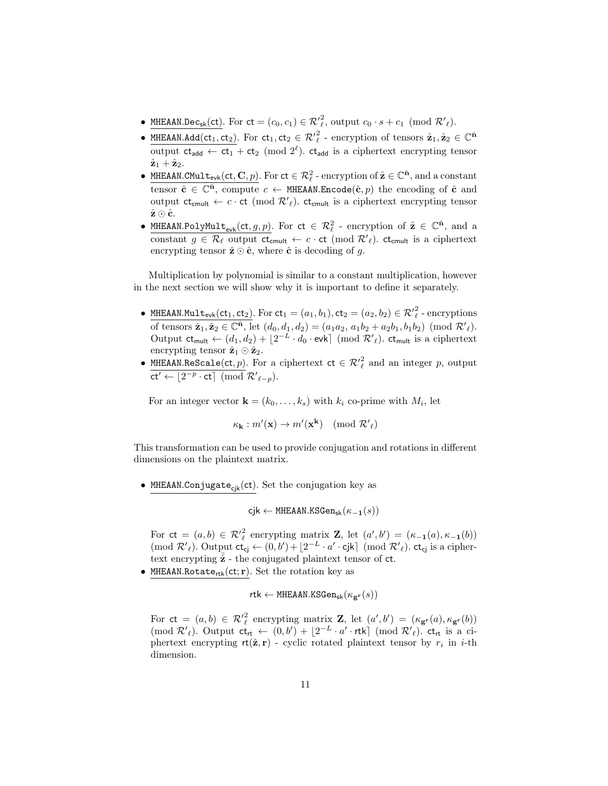- MHEAAN.Dec<sub>sk</sub>(ct). For  $ct = (c_0, c_1) \in \mathcal{R}'^2$ , output  $c_0 \cdot s + c_1 \pmod{\mathcal{R}'_{\ell}}$ .
- MHEAAN.Add(ct<sub>1</sub>, ct<sub>2</sub>). For ct<sub>1</sub>, ct<sub>2</sub>  $\in \mathcal{R}'^2_\ell$  encryption of tensors  $\hat{\mathbf{z}}_1, \hat{\mathbf{z}}_2 \in \mathbb{C}^{\hat{\mathbf{n}}}$ output  $ct_{add} \leftarrow ct_1 + ct_2 \pmod{2^{\ell}}$ .  $ct_{add}$  is a ciphertext encrypting tensor  $\hat{\mathbf{z}}_1 + \hat{\mathbf{z}}_2$ .
- MHEAAN.CMult<sub>evk</sub>(ct, C, p). For  $ct \in \mathcal{R}_{\ell}^2$  encryption of  $\hat{\mathbf{z}} \in \mathbb{C}^{\hat{\mathbf{n}}}$ , and a constant tensor  $\hat{\mathbf{c}} \in \mathbb{C}^{\hat{\mathbf{n}}}$ , compute  $c \leftarrow$  MHEAAN.Encode $(\hat{\mathbf{c}}, p)$  the encoding of  $\hat{\mathbf{c}}$  and output  $ct_{\text{cmult}} \leftarrow c \cdot ct \pmod{\mathcal{R}'_{\ell}}$ .  $ct_{\text{cmult}}$  is a ciphertext encrypting tensor  $\hat{\mathbf{z}} \odot \hat{\mathbf{c}}$ .
- MHEAAN.PolyMult<sub>evk</sub>(ct, g, p). For  $ct \in \mathcal{R}_{\ell}^2$  encryption of  $\hat{\mathbf{z}} \in \mathbb{C}^{\hat{\mathbf{n}}}$ , and a constant  $g \in \mathcal{R}_\ell$  output  $ct_{\text{cmult}} \leftarrow c \cdot ct \pmod{\mathcal{R'}_\ell}$ .  $ct_{\text{cmult}}$  is a ciphertext encrypting tensor  $\hat{\mathbf{z}} \odot \hat{\mathbf{c}}$ , where  $\hat{\mathbf{c}}$  is decoding of g.

Multiplication by polynomial is similar to a constant multiplication, however in the next section we will show why it is important to define it separately.

- MHEAAN.Mult<sub>evk</sub>(ct<sub>1</sub>, ct<sub>2</sub>). For  $ct_1 = (a_1, b_1)$ ,  $ct_2 = (a_2, b_2) \in \mathcal{R}'_l^2$  encryptions of tensors  $\hat{\mathbf{z}}_1, \hat{\mathbf{z}}_2 \in \mathbb{C}^{\hat{\mathbf{n}}},$  let  $(d_0, d_1, d_2) = (a_1a_2, a_1b_2 + a_2b_1, b_1b_2) \pmod{\mathcal{R'}_{\ell}}$ . Output  $ct_{mult} \leftarrow (d_1, d_2) + \lfloor 2^{-L} \cdot d_0 \cdot \text{evk} \rfloor \pmod{\mathcal{R'}_{\ell}}$ .  $ct_{mult}$  is a ciphertext encrypting tensor  $\hat{\mathbf{z}}_1 \odot \hat{\mathbf{z}}_2$ .
- MHEAAN.ReScale(ct, p). For a ciphertext  $ct \in \mathcal{R}'^2_{\ell}$  and an integer p, output  $ct' \leftarrow \lfloor 2^{-p} \cdot ct \rfloor \pmod{\mathcal{R'}_{\ell-p}}.$

For an integer vector  $\mathbf{k} = (k_0, \ldots, k_s)$  with  $k_i$  co-prime with  $M_i$ , let

$$
\kappa_{\mathbf{k}} : m'(\mathbf{x}) \to m'(\mathbf{x}^{\mathbf{k}}) \pmod{\mathcal{R'}_{\ell}}
$$

This transformation can be used to provide conjugation and rotations in different dimensions on the plaintext matrix.

• MHEAAN.Conjugate $_{cik}(ct)$ . Set the conjugation key as

 $cik \leftarrow MHEAAN.KSGen_{sk}(\kappa_{-1}(s))$ 

For  $ct = (a, b) \in \mathcal{R}'_{\ell}^2$  encrypting matrix **Z**, let  $(a', b') = (\kappa_{-1}(a), \kappa_{-1}(b))$ (mod  $\mathcal{R}'_{\ell}$ ). Output  $ct_{cj} \leftarrow (0, b') + \lfloor 2^{-L} \cdot a' \cdot cjk \rfloor \pmod{\mathcal{R}'_{\ell}}$ .  $ct_{cj}$  is a ciphertext encrypting  $\hat{z}$  - the conjugated plaintext tensor of  $ct$ .

• MHEAAN.Rotate<sub>rtk</sub>(ct; r). Set the rotation key as

$$
\mathsf{rtk} \gets \texttt{MHEAAN.KSGen}_{\mathsf{sk}}(\kappa_{\mathbf{g}^\mathbf{r}}(s))
$$

For  $ct = (a, b) \in \mathcal{R}'_{\ell}^2$  encrypting matrix **Z**, let  $(a', b') = (\kappa_{\mathbf{g}^r}(a), \kappa_{\mathbf{g}^r}(b))$ (mod  $\mathcal{R}'_{\ell}$ ). Output  $ct_{rt} \leftarrow (0, b') + \lfloor 2^{-L} \cdot a' \cdot rt \cdot k \rfloor \pmod{\mathcal{R}'_{\ell}}$ .  $ct_{rt}$  is a ciphertext encrypting  $rt(\hat{z}, r)$  - cyclic rotated plaintext tensor by  $r_i$  in *i*-th dimension.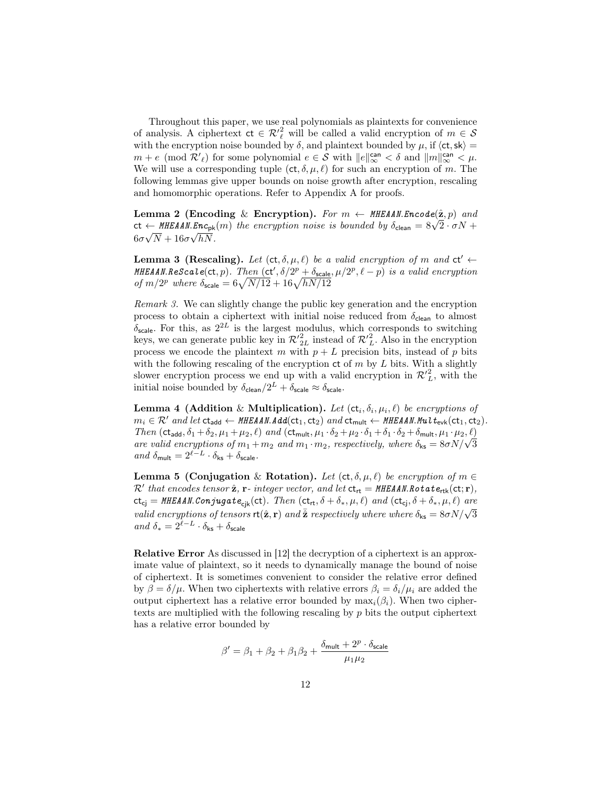Throughout this paper, we use real polynomials as plaintexts for convenience of analysis. A ciphertext  $ct \in \mathcal{R}'_{\ell}^2$  will be called a valid encryption of  $m \in \mathcal{S}$ with the encryption noise bounded by  $\delta$ , and plaintext bounded by  $\mu$ , if  $\langle ct, sk \rangle =$  $m + e \pmod{\mathcal{R}'_{\ell}}$  for some polynomial  $e \in \mathcal{S}$  with  $||e||_{\infty}^{\text{can}} < \delta$  and  $||m||_{\infty}^{\text{can}} < \mu$ . We will use a corresponding tuple  $(ct, \delta, \mu, \ell)$  for such an encryption of m. The following lemmas give upper bounds on noise growth after encryption, rescaling and homomorphic operations. Refer to Appendix A for proofs.

Lemma 2 (Encoding & Encryption). For  $m \leftarrow \texttt{MHEAAN}$ . Encode $(\hat{\mathbf{z}}, p)$  and **Lemma 2 (Encoding & Encryption).** For  $m \leftarrow m$  HEAAN.Encode(z, p) and<br>ct  $\leftarrow$  MHEAAN.Enc<sub>pk</sub>(m) the encryption noise is bounded by  $\delta_{\text{clean}} = 8\sqrt{2} \cdot \sigma N +$  $6\sigma\sqrt{N}+16\sigma\sqrt{hN}$ .

**Lemma 3 (Rescaling).** Let  $(ct, \delta, \mu, \ell)$  be a valid encryption of m and  $ct' \leftarrow$ **MHEAAN.ReScale(ct, p).** Then  $(ct', \delta/2^p + \delta_{scale}, \mu/2^p, \ell - p)$  is a valid encryption of  $m/2^p$  where  $\delta_{\text{scale}} = 6\sqrt{N/12} + 16\sqrt{hN/12}$ 

Remark 3. We can slightly change the public key generation and the encryption process to obtain a ciphertext with initial noise reduced from  $\delta_{\text{clean}}$  to almost  $\delta_{scale}$ . For this, as  $2^{2L}$  is the largest modulus, which corresponds to switching keys, we can generate public key in  $\mathcal{R'}_{2L}^2$  instead of  $\mathcal{R'}_L^2$ . Also in the encryption process we encode the plaintext m with  $p + L$  precision bits, instead of p bits with the following rescaling of the encryption  $ct$  of m by L bits. With a slightly slower encryption process we end up with a valid encryption in  $\mathcal{R'}_L^2$ , with the initial noise bounded by  $\delta_{\text{clean}}/2^L + \delta_{\text{scale}} \approx \delta_{\text{scale}}$ .

**Lemma 4 (Addition** & Multiplication). Let  $(\mathsf{ct}_i, \delta_i, \mu_i, \ell)$  be encryptions of  $m_i \in \mathcal{R}'$  and let  $ct_{add} \leftarrow \textit{MHEAAN.Add}(ct_1, ct_2)$  and  $ct_{mult} \leftarrow \textit{MHEAAN.Mul}$   $t_{evk}(ct_1, ct_2)$ . Then  $(ct_{add}, \delta_1 + \delta_2, \mu_1 + \mu_2, \ell)$  and  $(ct_{mult}, \mu_1 \cdot \delta_2 + \mu_2 \cdot \delta_1 + \delta_1 \cdot \delta_2 + \delta_{mult}, \mu_1 \cdot \mu_2, \ell)$ Then  $(\text{ct}_{\text{add}}, o_1 + o_2, \mu_1 + \mu_2, \ell)$  and  $(\text{ct}_{\text{mult}}, \mu_1 \cdot o_2 + \mu_2 \cdot o_1 + o_1 \cdot o_2 + o_{\text{mult}}, \mu_1 \cdot \mu_2, \ell)$ <br>are valid encryptions of  $m_1 + m_2$  and  $m_1 \cdot m_2$ , respectively, where  $\delta_{\text{ks}} = 8\sigma N/\sqrt{3}$ and  $\delta_{\mathsf{mult}} = 2^{\ell-L} \cdot \delta_{\mathsf{ks}} + \delta_{\mathsf{scale}}.$ 

Lemma 5 (Conjugation & Rotation). Let  $(ct, \delta, \mu, \ell)$  be encryption of  $m \in$  $\mathcal{R}'$  that encodes tensor  $\hat{\mathbf{z}}$ ,  $\mathbf{r}$ - integer vector, and let  $ct_{\mathsf{rt}} = \texttt{MHEAAN.Rotate}_{\mathsf{rtk}}(ct; \mathbf{r}),$  $ct_{cj} = \textit{MHEAAN}$ .Conjugate<sub>cik</sub>(ct). Then  $(ct_{rt}, \delta + \delta_*, \mu, \ell)$  and  $(ct_{cj}, \delta + \delta_*, \mu, \ell)$  are valid encryptions of tensors  $r(\hat{z}, r)$  and  $\bar{\hat{z}}$  respectively where where  $\delta_{ks} = 8\sigma N/\sqrt{3}$ and  $\delta_* = 2^{\ell - L} \cdot \delta_{\text{ks}} + \delta_{\text{scale}}$ 

Relative Error As discussed in [12] the decryption of a ciphertext is an approximate value of plaintext, so it needs to dynamically manage the bound of noise of ciphertext. It is sometimes convenient to consider the relative error defined by  $\beta = \delta/\mu$ . When two ciphertexts with relative errors  $\beta_i = \delta_i/\mu_i$  are added the output ciphertext has a relative error bounded by  $\max_i(\beta_i)$ . When two ciphertexts are multiplied with the following rescaling by p bits the output ciphertext has a relative error bounded by

$$
\beta' = \beta_1 + \beta_2 + \beta_1 \beta_2 + \frac{\delta_{\rm mult} + 2^p \cdot \delta_{\rm scale}}{\mu_1 \mu_2}
$$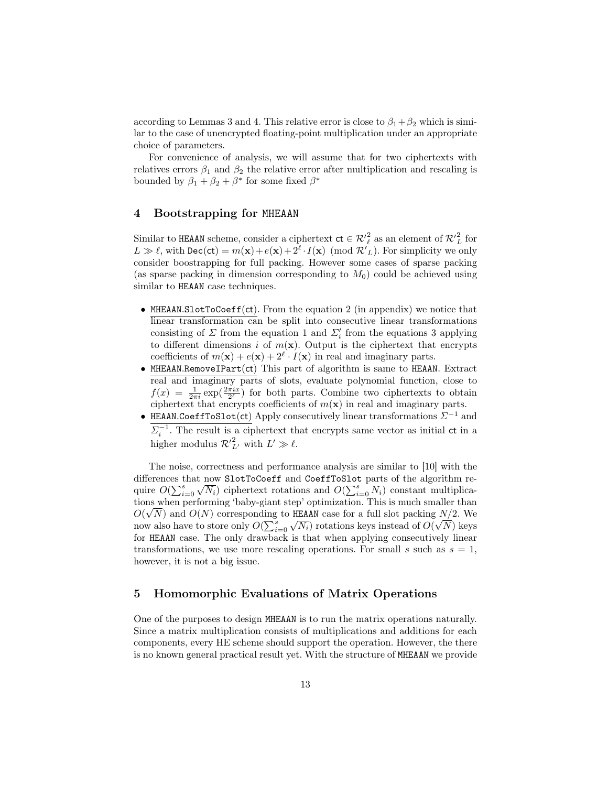according to Lemmas 3 and 4. This relative error is close to  $\beta_1 + \beta_2$  which is similar to the case of unencrypted floating-point multiplication under an appropriate choice of parameters.

For convenience of analysis, we will assume that for two ciphertexts with relatives errors  $\beta_1$  and  $\beta_2$  the relative error after multiplication and rescaling is bounded by  $\beta_1 + \beta_2 + \beta^*$  for some fixed  $\beta^*$ 

# 4 Bootstrapping for MHEAAN

Similar to HEAAN scheme, consider a ciphertext  $ct \in \mathcal{R'}_{\ell}^2$  as an element of  $\mathcal{R'}_{L}^2$  for  $L \gg \ell$ , with  $\text{Dec}(\text{ct}) = m(\textbf{x}) + e(\textbf{x}) + 2^{\ell} \cdot I(\textbf{x}) \pmod{\mathcal{R'}_L}$ . For simplicity we only consider boostrapping for full packing. However some cases of sparse packing (as sparse packing in dimension corresponding to  $M_0$ ) could be achieved using similar to HEAAN case techniques.

- MHEAAN.SlotToCoeff(ct). From the equation 2 (in appendix) we notice that linear transformation can be split into consecutive linear transformations consisting of  $\Sigma$  from the equation 1 and  $\Sigma_i'$  from the equations 3 applying to different dimensions i of  $m(\mathbf{x})$ . Output is the ciphertext that encrypts coefficients of  $m(\mathbf{x}) + e(\mathbf{x}) + 2^{\ell} \cdot I(\mathbf{x})$  in real and imaginary parts.
- $MHEAAN$ .RemoveIPart(ct) This part of algorithm is same to HEAAN. Extract real and imaginary parts of slots, evaluate polynomial function, close to  $f(x) = \frac{1}{2\pi i} \exp(\frac{2\pi i x}{2^{\ell}})$  for both parts. Combine two ciphertexts to obtain ciphertext that encrypts coefficients of  $m(\mathbf{x})$  in real and imaginary parts.
- HEAAN.CoeffToSlot(ct) Apply consecutively linear transformations  $\Sigma^{-1}$  and  $\Sigma_i^{-1}$ . The result is a ciphertext that encrypts same vector as initial ct in a higher modulus  $\mathcal{R'}_{L'}^2$  with  $L' \gg \ell$ .

The noise, correctness and performance analysis are similar to [10] with the differences that now SlotToCoeff and CoeffToSlot parts of the algorithm require  $O(\sum_{i=0}^s \sqrt{N_i})$  ciphertext rotations and  $O(\sum_{i=0}^s N_i)$  constant multiplications when performing 'baby-giant step' optimization. This is much smaller than √  $O(\sqrt{N})$  and  $O(N)$  corresponding to HEAAN case for a full slot packing  $N/2$ . We now also have to store only  $O(\sum_{i=0}^s \sqrt{N_i})$  rotations keys instead of  $O(\sqrt{N})$  keys for HEAAN case. The only drawback is that when applying consecutively linear transformations, we use more rescaling operations. For small s such as  $s = 1$ , however, it is not a big issue.

# 5 Homomorphic Evaluations of Matrix Operations

One of the purposes to design MHEAAN is to run the matrix operations naturally. Since a matrix multiplication consists of multiplications and additions for each components, every HE scheme should support the operation. However, the there is no known general practical result yet. With the structure of MHEAAN we provide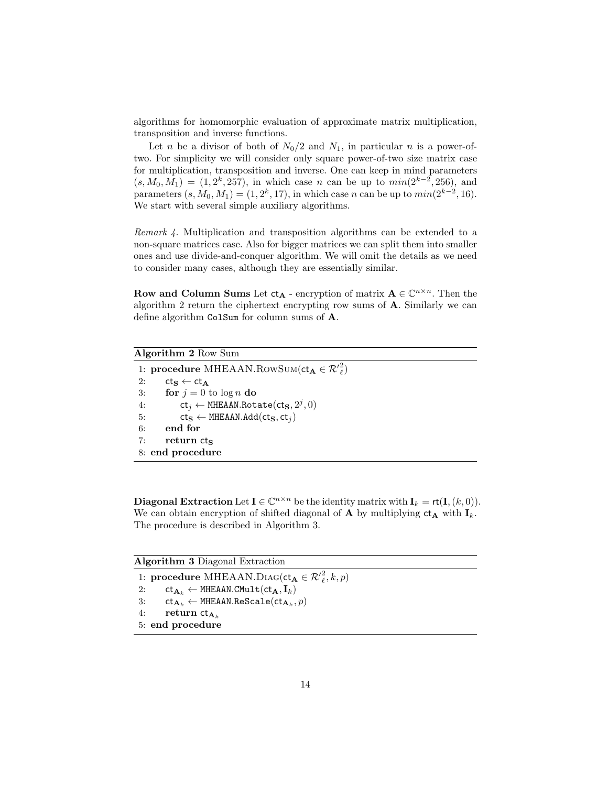algorithms for homomorphic evaluation of approximate matrix multiplication, transposition and inverse functions.

Let *n* be a divisor of both of  $N_0/2$  and  $N_1$ , in particular *n* is a power-oftwo. For simplicity we will consider only square power-of-two size matrix case for multiplication, transposition and inverse. One can keep in mind parameters  $(s, M_0, M_1) = (1, 2^k, 257)$ , in which case *n* can be up to  $min(2^{k-2}, 256)$ , and parameters  $(s, M_0, M_1) = (1, 2^k, 17)$ , in which case n can be up to  $min(2^{k-2}, 16)$ . We start with several simple auxiliary algorithms.

Remark 4. Multiplication and transposition algorithms can be extended to a non-square matrices case. Also for bigger matrices we can split them into smaller ones and use divide-and-conquer algorithm. We will omit the details as we need to consider many cases, although they are essentially similar.

Row and Column Sums Let  $ct_A$  - encryption of matrix  $A \in \mathbb{C}^{n \times n}$ . Then the algorithm 2 return the ciphertext encrypting row sums of A. Similarly we can define algorithm ColSum for column sums of A.

# Algorithm 2 Row Sum

1: procedure MHEAAN.RowSum(ct<sub>A</sub>  $\in \mathcal{R'}_{\ell}^2$ ) 2:  $ct_S \leftarrow ct_A$ 3: for  $j = 0$  to  $\log n$  do 4: ct<sub>j</sub> ← MHEAAN.Rotate(ct<sub>S</sub>,  $2^j$ , 0) 5:  $\mathsf{ct}_\mathbf{S} \leftarrow \mathsf{MHEAAN}.Add(\mathsf{ct}_\mathbf{S}, \mathsf{ct}_i)$ 6: end for  $7:$  return  $cts$ 8: end procedure

**Diagonal Extraction** Let  $I \in \mathbb{C}^{n \times n}$  be the identity matrix with  $I_k = rt(I, (k, 0)).$ We can obtain encryption of shifted diagonal of **A** by multiplying  $ct_A$  with  $I_k$ . The procedure is described in Algorithm 3.

Algorithm 3 Diagonal Extraction

1: procedure MHEAAN.DIAG( $ct_{\mathbf{A}} \in \mathcal{R'}_{\ell}^2, k, p$ )

2:  $ct_{\mathbf{A}_k} \leftarrow \text{MHEAAN.CMult}(ct_{\mathbf{A}}, \mathbf{I}_k)$ 

- $\texttt{St} \gets \texttt{MHEAAN}.\texttt{Rescale}(\texttt{ct}_{\mathbf{A}_k}, p)$
- 4: return  $ct_{\mathbf{A}_k}$
- 5: end procedure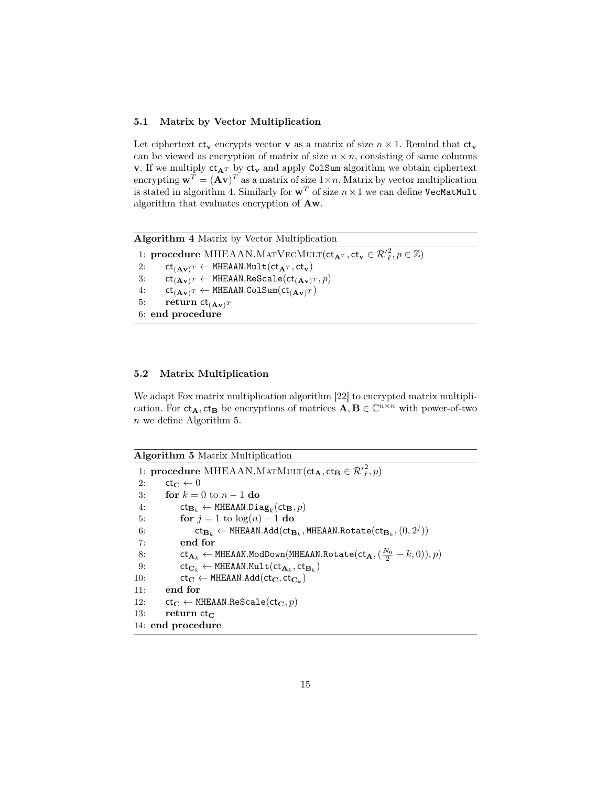### 5.1 Matrix by Vector Multiplication

Let ciphertext  $ct_v$  encrypts vector v as a matrix of size  $n \times 1$ . Remind that  $ct_v$ can be viewed as encryption of matrix of size  $n \times n$ , consisting of same columns **v**. If we multiply  $ct_{A^T}$  by  $ct_v$  and apply ColSum algorithm we obtain ciphertext encrypting  $\mathbf{w}^T = (\mathbf{A}\mathbf{v})^T$  as a matrix of size  $1 \times n$ . Matrix by vector multiplication is stated in algorithm 4. Similarly for  $w^T$  of size  $n \times 1$  we can define VecMatMult algorithm that evaluates encryption of Aw.

Algorithm 4 Matrix by Vector Multiplication

1: procedure MHEAAN.MATVECMULT( $ct_{\mathbf{A}^T}$ ,  $ct_{\mathbf{v}} \in \mathcal{R'}_{\ell}^2$ ,  $p \in \mathbb{Z}$ ) 2:  $ct_{(Av)^T} \leftarrow \text{MHEAAN.Mult}(ct_{A^T}, ct_v)$ 3:  $ct_{(Av)^T} \leftarrow \text{MHEAAN}$ .ReScale $(ct_{(Av)^T}, p)$ 4:  $ct_{(Av)^T} \leftarrow \text{MHEAAN.ColSum}(ct_{(Av)^T})$ 

5: return  $ct_{(Av)^T}$ 

6: end procedure

#### 5.2 Matrix Multiplication

We adapt Fox matrix multiplication algorithm [22] to encrypted matrix multiplication. For  $ct_A$ ,  $ct_B$  be encryptions of matrices  $\overline{A}$ ,  $B \in \mathbb{C}^{n \times n}$  with power-of-two n we define Algorithm 5.

| Algorithm 5 Matrix Multiplication |  |  |
|-----------------------------------|--|--|
|                                   |  |  |

1: **procedure** MHEAAN.MATMULT( $ct_{\mathbf{A}}, ct_{\mathbf{B}} \in \mathcal{R}'^2_{\ell}, p$ ) 2:  $ct_{\mathbf{C}} \leftarrow 0$ 3: for  $k = 0$  to  $n - 1$  do 4:  $\mathsf{ct}_{\mathbf{B}_k} \leftarrow \mathtt{MHEAAN.Diag}_k(\mathsf{ct}_\mathbf{B}, p)$ 5: for  $j = 1$  to  $log(n) - 1$  do 6:  $\mathsf{ct}_{\mathbf{B}_k} \leftarrow \mathtt{MHEAAN}. \mathtt{Add}(\mathsf{ct}_{\mathbf{B}_k},\mathtt{MHEAAN}. \mathtt{Rotate}(\mathsf{ct}_{\mathbf{B}_k},(0,2^j))$ 7: end for 8:  $\mathsf{ct}_{\mathbf{A}_k} \leftarrow \texttt{MHEAAN.ModDown}(\texttt{MHEAAN.Rotate}(\texttt{ct}_\mathbf{A},(\frac{N_0}{2} - k, 0)), p)$ 9:  $\mathsf{ct}_{\mathbf{C}_k} \leftarrow \texttt{MHEAAN.Mult}(\mathsf{ct}_{\mathbf{A}_k},\mathsf{ct}_{\mathbf{B}_k})$ 10:  $ct_{\mathbf{C}} \leftarrow \text{MHEAAN.Add}(ct_{\mathbf{C}}, ct_{\mathbf{C}_k})$ 11: end for 12:  $ct_C \leftarrow \text{MHEAAN}$ .ReScale( $ct_C, p$ ) 13: return  $ct_C$ 14: end procedure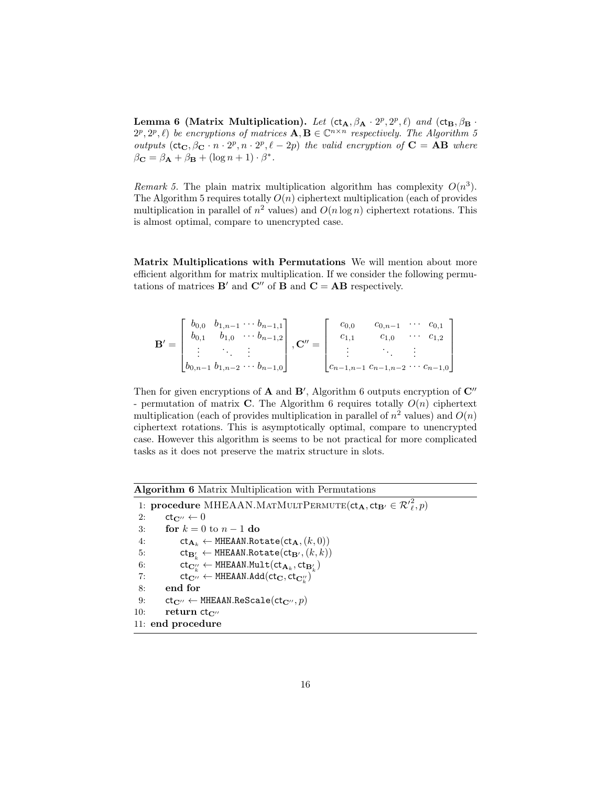Lemma 6 (Matrix Multiplication). Let  $(ct_A, \beta_A \cdot 2^p, 2^p, \ell)$  and  $(ct_B, \beta_B \cdot 2^p, \ell)$  $(2^p, 2^p, \ell)$  be encryptions of matrices  $\mathbf{A}, \mathbf{B} \in \mathbb{C}^{n \times n}$  respectively. The Algorithm 5 outputs  $(ct_C, \beta_C \cdot n \cdot 2^p, n \cdot 2^p, \ell - 2p)$  the valid encryption of  $C = AB$  where  $\beta_{\mathbf{C}} = \beta_{\mathbf{A}} + \beta_{\mathbf{B}} + (\log n + 1) \cdot \beta^*$ .

Remark 5. The plain matrix multiplication algorithm has complexity  $O(n^3)$ . The Algorithm 5 requires totally  $O(n)$  ciphertext multiplication (each of provides multiplication in parallel of  $n^2$  values) and  $O(n \log n)$  ciphertext rotations. This is almost optimal, compare to unencrypted case.

Matrix Multiplications with Permutations We will mention about more efficient algorithm for matrix multiplication. If we consider the following permutations of matrices  $\mathbf{B}'$  and  $\mathbf{C}''$  of  $\mathbf{B}$  and  $\mathbf{C} = \mathbf{AB}$  respectively.

$$
\mathbf{B}' = \begin{bmatrix} b_{0,0} & b_{1,n-1} & \cdots & b_{n-1,1} \\ b_{0,1} & b_{1,0} & \cdots & b_{n-1,2} \\ \vdots & \vdots & \vdots \\ b_{0,n-1} & b_{1,n-2} & \cdots & b_{n-1,0} \end{bmatrix}, \mathbf{C}'' = \begin{bmatrix} c_{0,0} & c_{0,n-1} & \cdots & c_{0,1} \\ c_{1,1} & c_{1,0} & \cdots & c_{1,2} \\ \vdots & \vdots & \ddots & \vdots \\ c_{n-1,n-1} & c_{n-1,n-2} & \cdots & c_{n-1,0} \end{bmatrix}
$$

Then for given encryptions of  $A$  and  $B'$ , Algorithm 6 outputs encryption of  $C''$ - permutation of matrix C. The Algorithm 6 requires totally  $O(n)$  ciphertext multiplication (each of provides multiplication in parallel of  $n^2$  values) and  $O(n)$ ciphertext rotations. This is asymptotically optimal, compare to unencrypted case. However this algorithm is seems to be not practical for more complicated tasks as it does not preserve the matrix structure in slots.

Algorithm 6 Matrix Multiplication with Permutations

1: procedure MHEAAN.MATMULTPERMUTE $(ct_{\mathbf{A}}, ct_{\mathbf{B}'} \in \mathcal{R}'^2_{\ell}, p)$ 2:  $ct_{\mathbf{C}''} \leftarrow 0$ 3: for  $k = 0$  to  $n - 1$  do 4:  $ct_{\mathbf{A}_k} \leftarrow \text{MHEAAN.Rotate}(\text{ct}_\mathbf{A}, (k, 0))$ 5:  $\mathsf{ct}_{\mathbf{B}'_k} \leftarrow \mathtt{MHEAAN.Rotate}(\mathsf{ct}_{\mathbf{B}'}, (k, k))$ 6:  $\mathsf{ct}_{\mathbf{C}_k''} \leftarrow \mathsf{MHEAAN.Mult}(\mathsf{ct}_{\mathbf{A}_k}, \mathsf{ct}_{\mathbf{B}_k'})$ 7:  $\text{ct}_{\mathbf{C}''} \leftarrow \text{MHEAAN.Add}(\text{ct}_{\mathbf{C}}, \text{ct}_{\mathbf{C}_k''})$ 8: end for 9:  $ct_{\mathbf{C}''} \leftarrow \text{MHEAAN}$ .ReScale( $ct_{\mathbf{C}''}, p$ ) 10: return  $ct_{C}$ 11: end procedure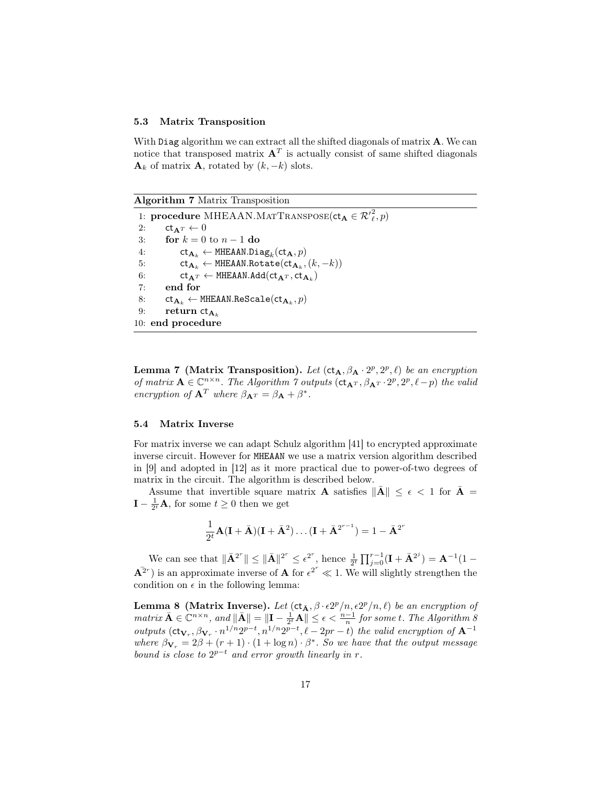#### 5.3 Matrix Transposition

With Diag algorithm we can extract all the shifted diagonals of matrix **A**. We can notice that transposed matrix  $A<sup>T</sup>$  is actually consist of same shifted diagonals  $\mathbf{A}_k$  of matrix  $\mathbf{A}$ , rotated by  $(k, -k)$  slots.

#### Algorithm 7 Matrix Transposition

1: **procedure** MHEAAN.MATTRANSPOSE( $ct_{\mathbf{A}} \in \mathcal{R}'^2_{\ell}, p$ ) 2:  $ct_{\mathbf{A}T} \leftarrow 0$ 3: for  $k = 0$  to  $n - 1$  do 4:  $\mathsf{ct}_{\mathbf{A}_k} \leftarrow \texttt{MHEAAN.Diag}_k(\mathsf{ct}_\mathbf{A}, p)$ 5:  $\mathsf{ct}_{\mathbf{A}_k} \leftarrow \texttt{MHEAAN.Rotate}(\mathsf{ct}_{\mathbf{A}_k}, (k, -k))$ 6:  $ct_{\mathbf{A}^T} \leftarrow \text{MHEAAN.Add}(ct_{\mathbf{A}^T}, ct_{\mathbf{A}_k})$ 7: end for  $\mathbb{R}^2 \colon \quad \mathsf{ct}_{\mathbf{A}_k} \leftarrow \mathsf{MHEAAN}.\mathtt{Rescale}(\mathsf{ct}_{\mathbf{A}_k}, p)$ 9: return  $ct_{\mathbf{A}_k}$ 10: end procedure

Lemma 7 (Matrix Transposition). Let  $(ct_A, \beta_A \cdot 2^p, 2^p, \ell)$  be an encryption of matrix  $\mathbf{A} \in \mathbb{C}^{n \times n}$ . The Algorithm  $\gamma$  outputs  $(\mathsf{ct}_{\mathbf{A}^T}, \beta_{\mathbf{A}^T} \cdot 2^p, 2^p, \ell - p)$  the valid encryption of  $\mathbf{A}^T$  where  $\beta_{\mathbf{A}^T} = \beta_{\mathbf{A}} + \beta^*$ .

### 5.4 Matrix Inverse

For matrix inverse we can adapt Schulz algorithm [41] to encrypted approximate inverse circuit. However for MHEAAN we use a matrix version algorithm described in [9] and adopted in [12] as it more practical due to power-of-two degrees of matrix in the circuit. The algorithm is described below.

Assume that invertible square matrix **A** satisfies  $\|\mathbf{A}\| \leq \epsilon < 1$  for  $\mathbf{A} =$  $\mathbf{I} - \frac{1}{2^t} \mathbf{A}$ , for some  $t \geq 0$  then we get

$$
\frac{1}{2^t}\mathbf{A}(\mathbf{I} + \bar{\mathbf{A}})(\mathbf{I} + \bar{\mathbf{A}}^2) \dots (\mathbf{I} + \bar{\mathbf{A}}^{2^{r-1}}) = 1 - \bar{\mathbf{A}}^{2^r}
$$

We can see that  $\|\bar{\mathbf{A}}^{2^r}\| \leq \|\bar{\mathbf{A}}\|^{2^r} \leq \epsilon^{2^r}$ , hence  $\frac{1}{2^t} \prod_{j=0}^{r-1} (\mathbf{I} + \bar{\mathbf{A}}^{2^j}) = \mathbf{A}^{-1} (1 \overline{A}^{2r}$ ) is an approximate inverse of **A** for  $\epsilon^{2r} \ll 1$ . We will slightly strengthen the condition on  $\epsilon$  in the following lemma:

Lemma 8 (Matrix Inverse). Let  $(ct_{\bar{A}}, \beta \cdot \epsilon 2^p/n, \epsilon 2^p/n, \ell)$  be an encryption of  $matrix \ \bar{A} \in \mathbb{C}^{n \times n}$ , and  $\|\bar{A}\| = \|\mathbf{I} - \frac{1}{2^t}A\| \leq \epsilon < \frac{n-1}{n}$  for some t. The Algorithm 8 outputs  $(\mathsf{ct}_{\mathbf{V}_r}, \beta_{\mathbf{V}_r} \cdot n^{1/n} 2^{p-t}, n^{1/n} 2^{p-t}, \ell - 2pr - t)$  the valid encryption of  $\mathbf{A}^{-1}$ where  $\beta_{\mathbf{V}_r} = 2\beta + (r+1) \cdot (1 + \log n) \cdot \beta^*$ . So we have that the output message bound is close to  $2^{p-t}$  and error growth linearly in r.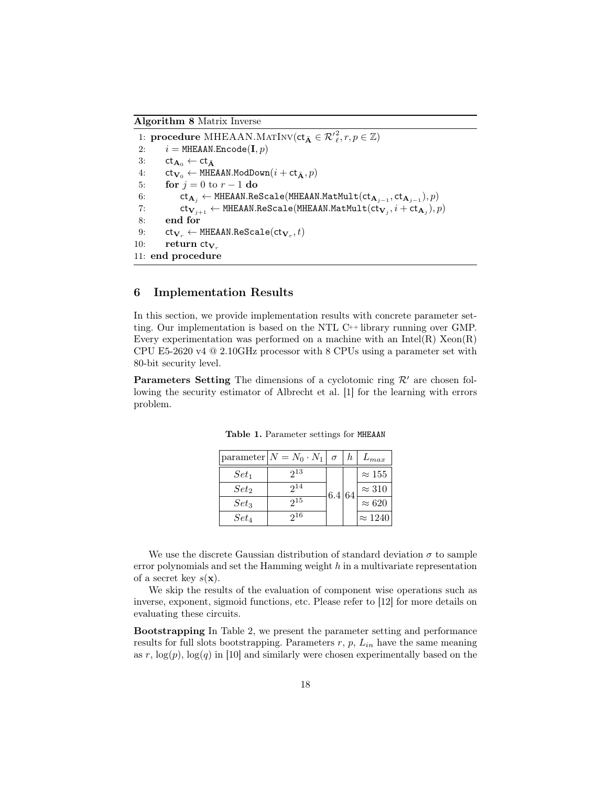Algorithm 8 Matrix Inverse

1: procedure MHEAAN.MATINV( $ct_{\bar{\mathbf{A}}} \in \mathcal{R'}_{\ell}^2, r, p \in \mathbb{Z}$ ) 2:  $i = \text{MHEAAN}$ . Encode  $(I, p)$ 3:  $ct_{\mathbf{A}_0} \leftarrow ct_{\bar{\mathbf{A}}}$ 4:  $ct_{\mathbf{V}_0} \leftarrow \text{MHEAAN.ModDown}(i + ct_{\bar{\mathbf{A}}}, p)$ 5: **for**  $j = 0$  to  $r - 1$  do 6: ct $_{\mathbf{A}_j}$  ← MHEAAN.ReScale(MHEAAN.MatMult(ct $_{\mathbf{A}_{j-1}},$ ct $_{\mathbf{A}_{j-1}}), p)$ 7:  $\mathsf{ct}_{\mathbf{V}_{j+1}} \leftarrow \texttt{MHEAAN}.{\tt ReScale}(\texttt{MHEAAN}.{\tt MatMult}(\mathsf{ct}_{\mathbf{V}_{j}},i+\mathsf{ct}_{\mathbf{A}_{j}}),p)$ 8: end for  $9: \qquad \mathsf{ct}_{\mathbf{V}_r} \leftarrow \mathtt{MHEAAN}.\mathtt{Rescale}(\mathsf{ct}_{\mathbf{V}_r},t)$ 10: return  $ct_{V_r}$ 11: end procedure

# 6 Implementation Results

In this section, we provide implementation results with concrete parameter setting. Our implementation is based on the NTL C++ library running over GMP. Every experimentation was performed on a machine with an Intel $(R)$  Xeon $(R)$ CPU E5-2620 v4 @ 2.10GHz processor with 8 CPUs using a parameter set with 80-bit security level.

**Parameters Setting** The dimensions of a cyclotomic ring  $\mathcal{R}'$  are chosen following the security estimator of Albrecht et al. [1] for the learning with errors problem.

|         | $\vert$ parameter $\vert N = N_0 \cdot N_1 \vert$ | $\sigma$ | $h_{-}$ | $L_{max}$      |
|---------|---------------------------------------------------|----------|---------|----------------|
| $Set_1$ | $2^{13}$                                          |          |         | $\approx 155$  |
| $Set_2$ | $2^{14}$                                          | 6.4 64   |         | $\approx 310$  |
| $Set_3$ | 215                                               |          |         | $\approx 620$  |
| $Set_4$ | 916                                               |          |         | $\approx 1240$ |

Table 1. Parameter settings for MHEAAN

We use the discrete Gaussian distribution of standard deviation  $\sigma$  to sample error polynomials and set the Hamming weight  $h$  in a multivariate representation of a secret key  $s(\mathbf{x})$ .

We skip the results of the evaluation of component wise operations such as inverse, exponent, sigmoid functions, etc. Please refer to [12] for more details on evaluating these circuits.

Bootstrapping In Table 2, we present the parameter setting and performance results for full slots bootstrapping. Parameters  $r, p, L_{in}$  have the same meaning as r,  $log(p)$ ,  $log(q)$  in [10] and similarly were chosen experimentally based on the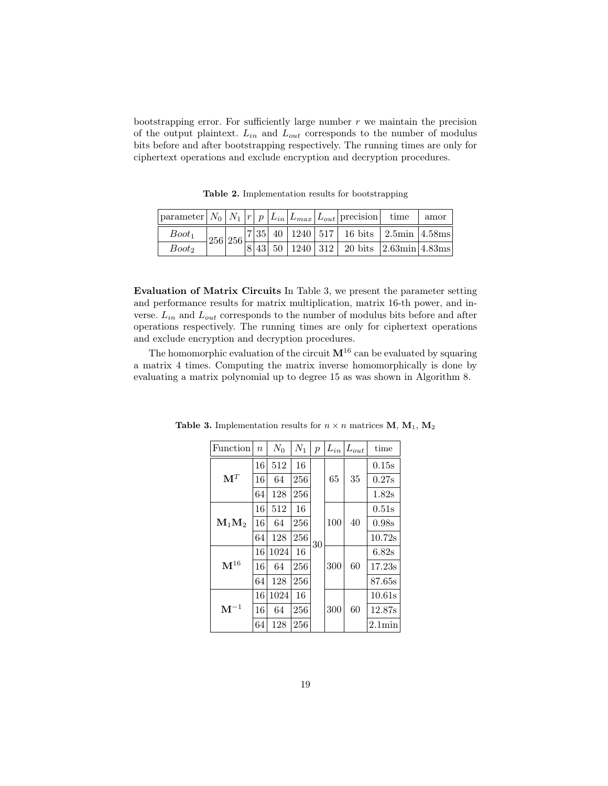bootstrapping error. For sufficiently large number  $r$  we maintain the precision of the output plaintext.  $L_{in}$  and  $L_{out}$  corresponds to the number of modulus bits before and after bootstrapping respectively. The running times are only for ciphertext operations and exclude encryption and decryption procedures.

parameter |  $N_0$  |  $N_1$  |  $r$  |  $p$  |  $L_{in}$  |  $L_{max}$  |  $L_{out}$  | precision | time | amor  $_{Boot_1}$ 256 256  $7|35|40|1240|517|16 bits$  2.5min 4.58ms  $Boot_2$  | | | 8 43 50 | 1240 | 312 | 20 bits  $|2.63$ min | 4.83ms

Table 2. Implementation results for bootstrapping

Evaluation of Matrix Circuits In Table 3, we present the parameter setting and performance results for matrix multiplication, matrix 16-th power, and inverse.  $L_{in}$  and  $L_{out}$  corresponds to the number of modulus bits before and after operations respectively. The running times are only for ciphertext operations and exclude encryption and decryption procedures.

The homomorphic evaluation of the circuit  $M^{16}$  can be evaluated by squaring a matrix 4 times. Computing the matrix inverse homomorphically is done by evaluating a matrix polynomial up to degree 15 as was shown in Algorithm 8.

| Function          | $\boldsymbol{n}$ | $N_0$ | $N_1$ | $\overline{p}$ | $L_{in}$ | $L_{out}$ | time            |
|-------------------|------------------|-------|-------|----------------|----------|-----------|-----------------|
|                   | 16               | 512   | 16    |                |          |           | 0.15s           |
| $\mathbf{M}^T$    | 16               | 64    | 256   |                | 65       | 35        | 0.27s           |
|                   | 64               | 128   | 256   |                |          |           | 1.82s           |
|                   | 16               | 512   | 16    |                |          |           | 0.51s           |
| $M_1M_2$          | 16               | 64    | 256   |                | 100      | 40        | 0.98s           |
|                   | 64               | 128   | 256   | 30             |          |           | 10.72s          |
|                   | 16               | 1024  | 16    |                |          |           | 6.82s           |
| $\mathbf{M}^{16}$ | 16               | 64    | 256   |                | 300      | 60        | 17.23s          |
|                   | 64               | 128   | 256   |                |          |           | 87.65s          |
|                   | 16               | 1024  | 16    |                |          |           | 10.61s          |
| $\mathbf{M}^{-1}$ | 16               | 64    | 256   |                | 300      | 60        | 12.87s          |
|                   | 64               | 128   | 256   |                |          |           | $2.1\text{min}$ |

Table 3. Implementation results for  $n \times n$  matrices M, M<sub>1</sub>, M<sub>2</sub>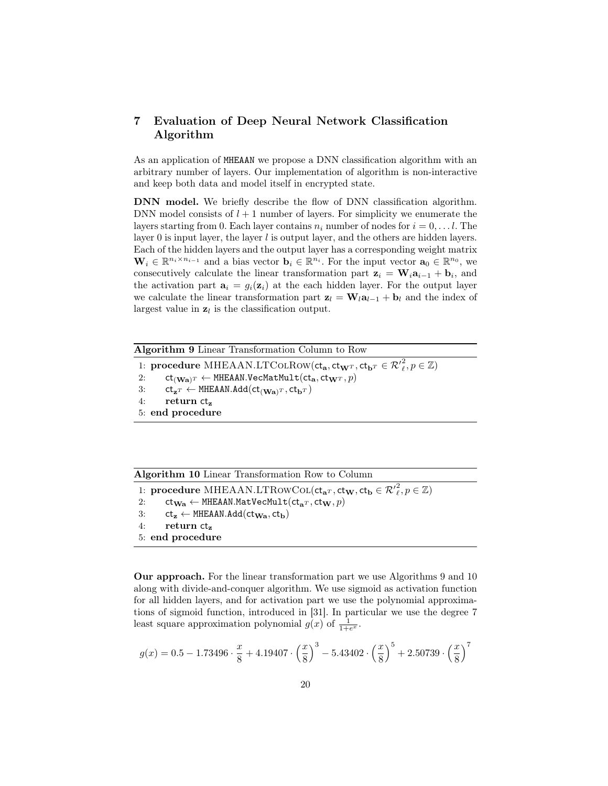# 7 Evaluation of Deep Neural Network Classification Algorithm

As an application of MHEAAN we propose a DNN classification algorithm with an arbitrary number of layers. Our implementation of algorithm is non-interactive and keep both data and model itself in encrypted state.

DNN model. We briefly describe the flow of DNN classification algorithm. DNN model consists of  $l + 1$  number of layers. For simplicity we enumerate the layers starting from 0. Each layer contains  $n_i$  number of nodes for  $i = 0, \ldots l$ . The layer 0 is input layer, the layer  $l$  is output layer, and the others are hidden layers. Each of the hidden layers and the output layer has a corresponding weight matrix  $\mathbf{W}_i \in \mathbb{R}^{n_i \times n_{i-1}}$  and a bias vector  $\mathbf{b}_i \in \mathbb{R}^{n_i}$ . For the input vector  $\mathbf{a}_0 \in \mathbb{R}^{n_0}$ , we consecutively calculate the linear transformation part  $z_i = W_i a_{i-1} + b_i$ , and the activation part  $\mathbf{a}_i = g_i(\mathbf{z}_i)$  at the each hidden layer. For the output layer we calculate the linear transformation part  $z_l = W_l a_{l-1} + b_l$  and the index of largest value in  $z_l$  is the classification output.

| Algorithm 9 Linear Transformation Column to Row                                                                                        |
|----------------------------------------------------------------------------------------------------------------------------------------|
| 1: procedure MHEAAN.LTCOLROW( $ct_{a}$ , $ct_{wT}$ , $ct_{bT} \in \mathcal{R}'^2$ , $p \in \mathbb{Z}$ )                               |
| $\mathsf{ct}_{(\mathbf{Wa})^T} \leftarrow \texttt{MHEAAN.VecMatMult}(\mathsf{ct}_\mathbf{a},\mathsf{ct}_\mathbf{W^T}, p)$<br>2:        |
| $\mathsf{ct}_{\mathbf{z}^T} \leftarrow \mathsf{MHEAAN}. \mathsf{Add}(\mathsf{ct}_{(\mathbf{Wa})^T}, \mathsf{ct}_{\mathbf{b}^T})$<br>3: |
| return $ct_z$<br>4:                                                                                                                    |
| 5: end procedure                                                                                                                       |
|                                                                                                                                        |

Algorithm 10 Linear Transformation Row to Column

```
1: procedure MHEAAN.LTRowCoL(ct_{aT}, ct_{W}, ct_{b} \in \mathcal{R}'_{\ell}^{2}, p \in \mathbb{Z})
2: ct_{\mathbf{W}\mathbf{a}} \leftarrow \text{MHEAAN}. \text{MatVecMult}(ct_{\mathbf{a}^T}, ct_{\mathbf{W}}, p)<br>3: ct_z \leftarrow \text{MHEAAN}. \text{Add}(ct_{\mathbf{W}_\mathbf{a}}, ct_{\mathbf{b}})ct_z \leftarrow MHEAAN.Add(ct_{Wa}, ct_b)
4: return ct_z5: end procedure
```
Our approach. For the linear transformation part we use Algorithms 9 and 10 along with divide-and-conquer algorithm. We use sigmoid as activation function for all hidden layers, and for activation part we use the polynomial approximations of sigmoid function, introduced in [31]. In particular we use the degree 7 least square approximation polynomial  $g(x)$  of  $\frac{1}{1+e^x}$ .

$$
g(x) = 0.5 - 1.73496 \cdot \frac{x}{8} + 4.19407 \cdot \left(\frac{x}{8}\right)^3 - 5.43402 \cdot \left(\frac{x}{8}\right)^5 + 2.50739 \cdot \left(\frac{x}{8}\right)^7
$$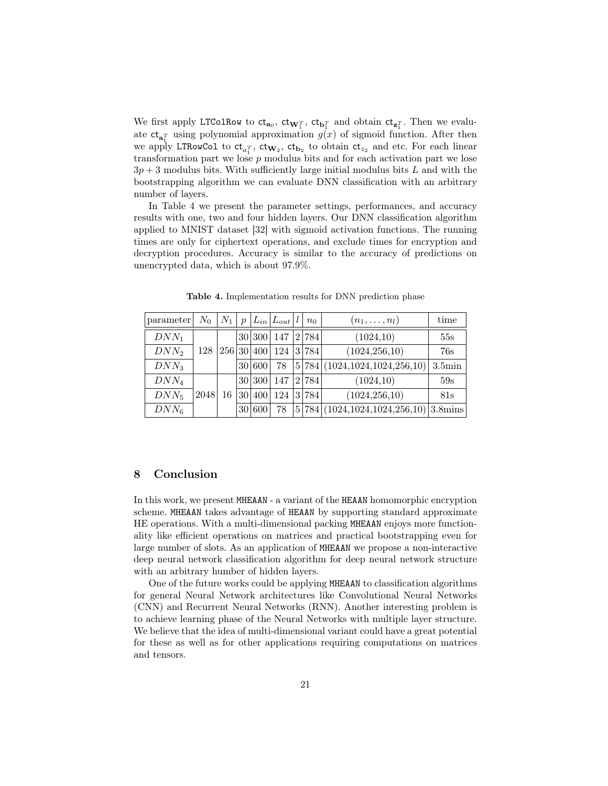We first apply LTColRow to  $ct_{\mathbf{a}_0}$ ,  $ct_{\mathbf{W}_1^T}$ ,  $ct_{\mathbf{b}_1^T}$  and obtain  $ct_{\mathbf{z}_1^T}$ . Then we evaluate  $ct_{a_i^T}$  using polynomial approximation  $g(x)$  of sigmoid function. After then we apply LTRowCol to  $ct_{a_1^T}$ ,  $ct_{W_2}$ ,  $ct_{b_2}$  to obtain  $ct_{z_2}$  and etc. For each linear transformation part we lose p modulus bits and for each activation part we lose  $3p + 3$  modulus bits. With sufficiently large initial modulus bits L and with the bootstrapping algorithm we can evaluate DNN classification with an arbitrary number of layers.

In Table 4 we present the parameter settings, performances, and accuracy results with one, two and four hidden layers. Our DNN classification algorithm applied to MNIST dataset [32] with sigmoid activation functions. The running times are only for ciphertext operations, and exclude times for encryption and decryption procedures. Accuracy is similar to the accuracy of predictions on unencrypted data, which is about 97.9%.

| parameter        | $N_0$ | $\, \cdot \, N_1 +$ | $\mathcal{D}$ |            | $ L_{in} L_{out} l $ | $n_0$ | $(n_1,\ldots,n_l)$                              | time            |
|------------------|-------|---------------------|---------------|------------|----------------------|-------|-------------------------------------------------|-----------------|
| $DNN_1$          |       |                     |               | 30 300     | 147                  | 2 784 | (1024, 10)                                      | 55s             |
| $DNN_2$          | 128   |                     |               | 256 30 400 | 124                  | 3 784 | (1024, 256, 10)                                 | 76s             |
| $DNN_3$          |       |                     |               | 30 600     | 78                   |       | 5 784 (1024,1024,1024,256,10)                   | $3.5\text{min}$ |
| DNN <sub>4</sub> |       |                     |               | 30 300     | 147                  | 2 784 | (1024, 10)                                      | 59s             |
| $DNN_5$          | 2048  | 16                  |               | 30 400     | 124                  | 3 784 | (1024, 256, 10)                                 | 81s             |
| $DNN_6$          |       |                     |               | 30 600     | 78                   |       | $5 784 (1024,1024,1024,256,10) 3.8 \text{mins}$ |                 |

Table 4. Implementation results for DNN prediction phase

### 8 Conclusion

In this work, we present MHEAAN - a variant of the HEAAN homomorphic encryption scheme. MHEAAN takes advantage of HEAAN by supporting standard approximate HE operations. With a multi-dimensional packing MHEAAN enjoys more functionality like efficient operations on matrices and practical bootstrapping even for large number of slots. As an application of MHEAAN we propose a non-interactive deep neural network classification algorithm for deep neural network structure with an arbitrary humber of hidden layers.

One of the future works could be applying MHEAAN to classification algorithms for general Neural Network architectures like Convolutional Neural Networks (CNN) and Recurrent Neural Networks (RNN). Another interesting problem is to achieve learning phase of the Neural Networks with multiple layer structure. We believe that the idea of multi-dimensional variant could have a great potential for these as well as for other applications requiring computations on matrices and tensors.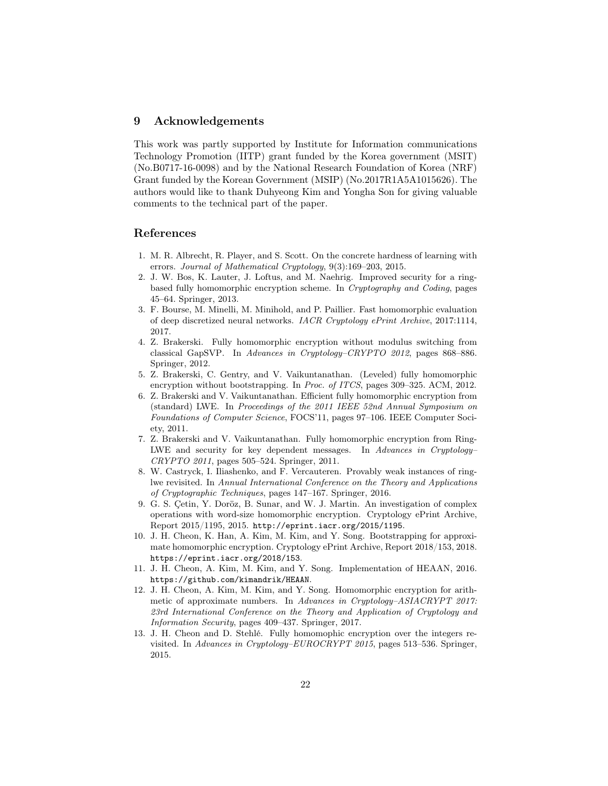# 9 Acknowledgements

This work was partly supported by Institute for Information communications Technology Promotion (IITP) grant funded by the Korea government (MSIT) (No.B0717-16-0098) and by the National Research Foundation of Korea (NRF) Grant funded by the Korean Government (MSIP) (No.2017R1A5A1015626). The authors would like to thank Duhyeong Kim and Yongha Son for giving valuable comments to the technical part of the paper.

# References

- 1. M. R. Albrecht, R. Player, and S. Scott. On the concrete hardness of learning with errors. Journal of Mathematical Cryptology, 9(3):169–203, 2015.
- 2. J. W. Bos, K. Lauter, J. Loftus, and M. Naehrig. Improved security for a ringbased fully homomorphic encryption scheme. In Cryptography and Coding, pages 45–64. Springer, 2013.
- 3. F. Bourse, M. Minelli, M. Minihold, and P. Paillier. Fast homomorphic evaluation of deep discretized neural networks. IACR Cryptology ePrint Archive, 2017:1114, 2017.
- 4. Z. Brakerski. Fully homomorphic encryption without modulus switching from classical GapSVP. In Advances in Cryptology–CRYPTO 2012, pages 868–886. Springer, 2012.
- 5. Z. Brakerski, C. Gentry, and V. Vaikuntanathan. (Leveled) fully homomorphic encryption without bootstrapping. In Proc. of ITCS, pages 309–325. ACM, 2012.
- 6. Z. Brakerski and V. Vaikuntanathan. Efficient fully homomorphic encryption from (standard) LWE. In Proceedings of the 2011 IEEE 52nd Annual Symposium on Foundations of Computer Science, FOCS'11, pages 97–106. IEEE Computer Society, 2011.
- 7. Z. Brakerski and V. Vaikuntanathan. Fully homomorphic encryption from Ring-LWE and security for key dependent messages. In Advances in Cryptology– CRYPTO 2011, pages 505–524. Springer, 2011.
- 8. W. Castryck, I. Iliashenko, and F. Vercauteren. Provably weak instances of ringlwe revisited. In Annual International Conference on the Theory and Applications of Cryptographic Techniques, pages 147–167. Springer, 2016.
- 9. G. S. Çetin, Y. Doröz, B. Sunar, and W. J. Martin. An investigation of complex operations with word-size homomorphic encryption. Cryptology ePrint Archive, Report 2015/1195, 2015. http://eprint.iacr.org/2015/1195.
- 10. J. H. Cheon, K. Han, A. Kim, M. Kim, and Y. Song. Bootstrapping for approximate homomorphic encryption. Cryptology ePrint Archive, Report 2018/153, 2018. https://eprint.iacr.org/2018/153.
- 11. J. H. Cheon, A. Kim, M. Kim, and Y. Song. Implementation of HEAAN, 2016. https://github.com/kimandrik/HEAAN.
- 12. J. H. Cheon, A. Kim, M. Kim, and Y. Song. Homomorphic encryption for arithmetic of approximate numbers. In Advances in Cryptology–ASIACRYPT 2017: 23rd International Conference on the Theory and Application of Cryptology and Information Security, pages 409–437. Springer, 2017.
- 13. J. H. Cheon and D. Stehlé. Fully homomophic encryption over the integers revisited. In Advances in Cryptology–EUROCRYPT 2015, pages 513–536. Springer, 2015.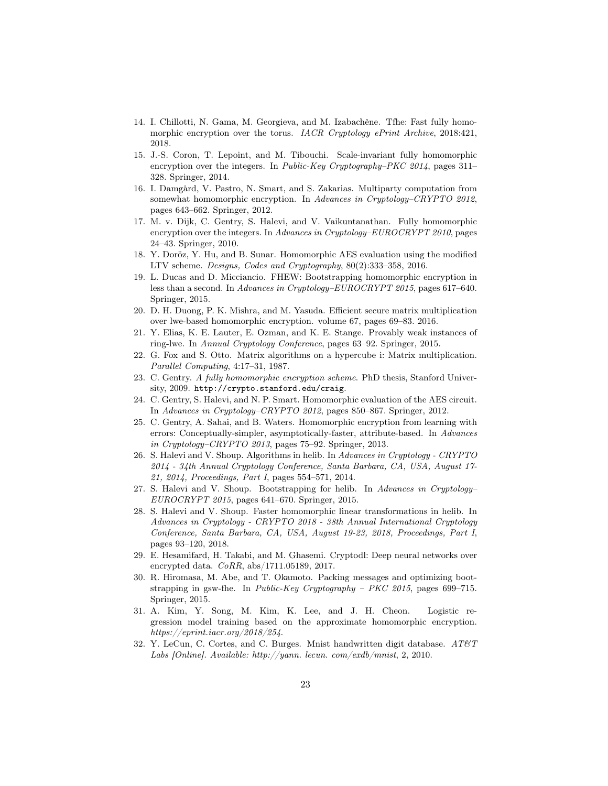- 14. I. Chillotti, N. Gama, M. Georgieva, and M. Izabachène. Tfhe: Fast fully homomorphic encryption over the torus. IACR Cryptology ePrint Archive, 2018:421, 2018.
- 15. J.-S. Coron, T. Lepoint, and M. Tibouchi. Scale-invariant fully homomorphic encryption over the integers. In Public-Key Cryptography–PKC 2014, pages 311– 328. Springer, 2014.
- 16. I. Damgård, V. Pastro, N. Smart, and S. Zakarias. Multiparty computation from somewhat homomorphic encryption. In Advances in Cryptology–CRYPTO 2012, pages 643–662. Springer, 2012.
- 17. M. v. Dijk, C. Gentry, S. Halevi, and V. Vaikuntanathan. Fully homomorphic encryption over the integers. In Advances in Cryptology–EUROCRYPT 2010, pages 24–43. Springer, 2010.
- 18. Y. Doröz, Y. Hu, and B. Sunar. Homomorphic AES evaluation using the modified LTV scheme. Designs, Codes and Cryptography, 80(2):333–358, 2016.
- 19. L. Ducas and D. Micciancio. FHEW: Bootstrapping homomorphic encryption in less than a second. In Advances in Cryptology–EUROCRYPT 2015, pages 617–640. Springer, 2015.
- 20. D. H. Duong, P. K. Mishra, and M. Yasuda. Efficient secure matrix multiplication over lwe-based homomorphic encryption. volume 67, pages 69–83. 2016.
- 21. Y. Elias, K. E. Lauter, E. Ozman, and K. E. Stange. Provably weak instances of ring-lwe. In Annual Cryptology Conference, pages 63–92. Springer, 2015.
- 22. G. Fox and S. Otto. Matrix algorithms on a hypercube i: Matrix multiplication. Parallel Computing, 4:17–31, 1987.
- 23. C. Gentry. A fully homomorphic encryption scheme. PhD thesis, Stanford University, 2009. http://crypto.stanford.edu/craig.
- 24. C. Gentry, S. Halevi, and N. P. Smart. Homomorphic evaluation of the AES circuit. In Advances in Cryptology–CRYPTO 2012, pages 850–867. Springer, 2012.
- 25. C. Gentry, A. Sahai, and B. Waters. Homomorphic encryption from learning with errors: Conceptually-simpler, asymptotically-faster, attribute-based. In Advances in Cryptology–CRYPTO 2013, pages 75–92. Springer, 2013.
- 26. S. Halevi and V. Shoup. Algorithms in helib. In Advances in Cryptology CRYPTO 2014 - 34th Annual Cryptology Conference, Santa Barbara, CA, USA, August 17- 21, 2014, Proceedings, Part I, pages 554–571, 2014.
- 27. S. Halevi and V. Shoup. Bootstrapping for helib. In Advances in Cryptology– EUROCRYPT 2015, pages 641–670. Springer, 2015.
- 28. S. Halevi and V. Shoup. Faster homomorphic linear transformations in helib. In Advances in Cryptology - CRYPTO 2018 - 38th Annual International Cryptology Conference, Santa Barbara, CA, USA, August 19-23, 2018, Proceedings, Part I, pages 93–120, 2018.
- 29. E. Hesamifard, H. Takabi, and M. Ghasemi. Cryptodl: Deep neural networks over encrypted data. CoRR, abs/1711.05189, 2017.
- 30. R. Hiromasa, M. Abe, and T. Okamoto. Packing messages and optimizing bootstrapping in gsw-fhe. In Public-Key Cryptography – PKC 2015, pages 699–715. Springer, 2015.
- 31. A. Kim, Y. Song, M. Kim, K. Lee, and J. H. Cheon. Logistic regression model training based on the approximate homomorphic encryption. https://eprint.iacr.org/2018/254.
- 32. Y. LeCun, C. Cortes, and C. Burges. Mnist handwritten digit database.  $AT\&T$ Labs [Online]. Available: http://yann. lecun. com/exdb/mnist, 2, 2010.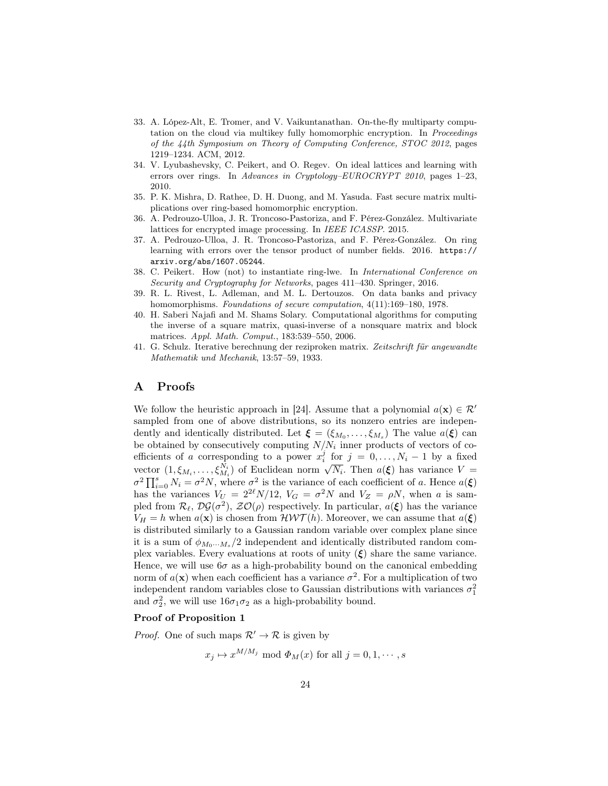- 33. A. López-Alt, E. Tromer, and V. Vaikuntanathan. On-the-fly multiparty computation on the cloud via multikey fully homomorphic encryption. In Proceedings of the 44th Symposium on Theory of Computing Conference, STOC 2012, pages 1219–1234. ACM, 2012.
- 34. V. Lyubashevsky, C. Peikert, and O. Regev. On ideal lattices and learning with errors over rings. In Advances in Cryptology–EUROCRYPT 2010, pages 1–23, 2010.
- 35. P. K. Mishra, D. Rathee, D. H. Duong, and M. Yasuda. Fast secure matrix multiplications over ring-based homomorphic encryption.
- 36. A. Pedrouzo-Ulloa, J. R. Troncoso-Pastoriza, and F. Pérez-González. Multivariate lattices for encrypted image processing. In IEEE ICASSP. 2015.
- 37. A. Pedrouzo-Ulloa, J. R. Troncoso-Pastoriza, and F. Pérez-González. On ring learning with errors over the tensor product of number fields. 2016. https:// arxiv.org/abs/1607.05244.
- 38. C. Peikert. How (not) to instantiate ring-lwe. In International Conference on Security and Cryptography for Networks, pages 411–430. Springer, 2016.
- 39. R. L. Rivest, L. Adleman, and M. L. Dertouzos. On data banks and privacy homomorphisms. Foundations of secure computation,  $4(11):169-180$ , 1978.
- 40. H. Saberi Najafi and M. Shams Solary. Computational algorithms for computing the inverse of a square matrix, quasi-inverse of a nonsquare matrix and block matrices. Appl. Math. Comput., 183:539–550, 2006.
- 41. G. Schulz. Iterative berechnung der reziproken matrix. Zeitschrift für angewandte Mathematik und Mechanik, 13:57–59, 1933.

# A Proofs

We follow the heuristic approach in [24]. Assume that a polynomial  $a(\mathbf{x}) \in \mathcal{R}^{\prime}$ sampled from one of above distributions, so its nonzero entries are independently and identically distributed. Let  $\boldsymbol{\xi} = (\xi_{M_0}, \dots, \xi_{M_s})$  The value  $a(\boldsymbol{\xi})$  can be obtained by consecutively computing  $N/N_i$  inner products of vectors of coefficients of a corresponding to a power  $x_i^j$  for  $j = 0, ..., N_i - 1$  by a fixed emerging to a power  $x_i$  for  $j = 0, \ldots, N_i - 1$  by a fixed vector  $(1, \xi_{M_i}, \ldots, \xi_{M_i}^{N_i})$  of Euclidean norm  $\sqrt{N_i}$ . Then  $a(\xi)$  has variance  $V =$ vector  $(1, \varsigma_{M_i}, \ldots, \varsigma_{M_i})$  or Euchdean norm  $\sqrt{N_i}$ . Then  $a(\varsigma)$  has variance  $\gamma = \sigma^2 \prod_{i=0}^s N_i = \sigma^2 N$ , where  $\sigma^2$  is the variance of each coefficient of a. Hence  $a(\xi)$ has the variances  $V_U = 2^{2\ell} N/12$ ,  $V_G = \sigma^2 N$  and  $V_Z = \rho N$ , when a is sampled from  $\mathcal{R}_{\ell}$ ,  $\mathcal{DG}(\sigma^2)$ ,  $\mathcal{ZO}(\rho)$  respectively. In particular,  $a(\xi)$  has the variance  $V_H = h$  when  $a(\mathbf{x})$  is chosen from  $\mathcal{HWT}(h)$ . Moreover, we can assume that  $a(\xi)$ is distributed similarly to a Gaussian random variable over complex plane since it is a sum of  $\phi_{M_0\cdots M_s}/2$  independent and identically distributed random complex variables. Every evaluations at roots of unity  $(\xi)$  share the same variance. Hence, we will use  $6\sigma$  as a high-probability bound on the canonical embedding norm of  $a(\mathbf{x})$  when each coefficient has a variance  $\sigma^2$ . For a multiplication of two independent random variables close to Gaussian distributions with variances  $\sigma_1^2$ and  $\sigma_2^2$ , we will use  $16\sigma_1\sigma_2$  as a high-probability bound.

#### Proof of Proposition 1

*Proof.* One of such maps  $\mathcal{R}' \to \mathcal{R}$  is given by

 $x_j \mapsto x^{M/M_j} \mod \Phi_M(x)$  for all  $j = 0, 1, \dots, s$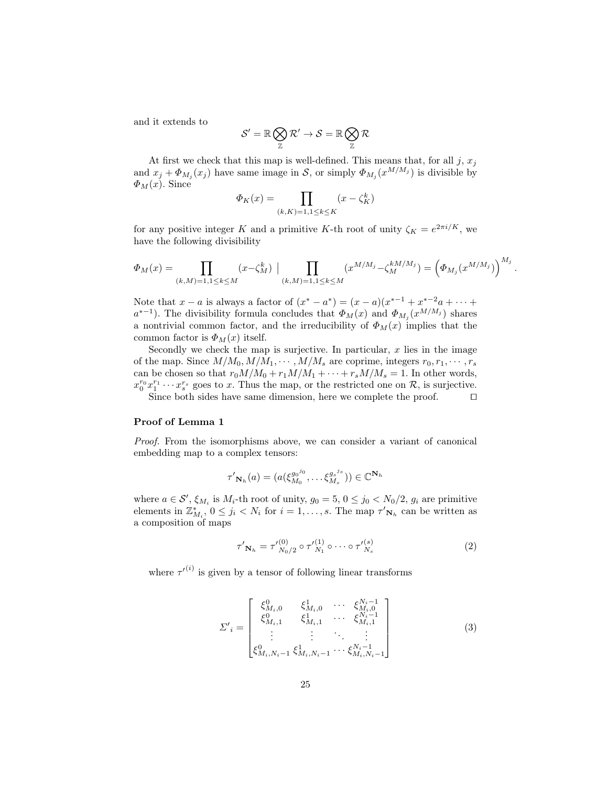and it extends to

$$
\mathcal{S}' = \mathbb{R} \bigotimes_\mathbb{Z} \mathcal{R}' \to \mathcal{S} = \mathbb{R} \bigotimes_\mathbb{Z} \mathcal{R}
$$

At first we check that this map is well-defined. This means that, for all  $j, x_j$ and  $x_j + \Phi_{M_j}(x_j)$  have same image in S, or simply  $\Phi_{M_j}(x^{M/M_j})$  is divisible by  $\Phi_M(x)$ . Since

$$
\Phi_K(x) = \prod_{(k,K)=1,1 \le k \le K} (x - \zeta_K^k)
$$

for any positive integer K and a primitive K-th root of unity  $\zeta_K = e^{2\pi i/K}$ , we have the following divisibility

$$
\varPhi_M(x) = \prod_{(k,M)=1, 1 \leq k \leq M} (x - \zeta_M^k) \mid \prod_{(k,M)=1, 1 \leq k \leq M} (x^{M/M_j} - \zeta_M^{kM/M_j}) = \left(\varPhi_{M_j}(x^{M/M_j})\right)^{M_j}.
$$

Note that  $x - a$  is always a factor of  $(x^* - a^*) = (x - a)(x^{*-1} + x^{*-2}a + \cdots + a^*)$  $a^{*-1}$ ). The divisibility formula concludes that  $\Phi_M(x)$  and  $\Phi_{M_j}(x^{M/M_j})$  shares a nontrivial common factor, and the irreducibility of  $\Phi_M(x)$  implies that the common factor is  $\Phi_M(x)$  itself.

Secondly we check the map is surjective. In particular,  $x$  lies in the image of the map. Since  $M/M_0, M/M_1, \cdots, M/M_s$  are coprime, integers  $r_0, r_1, \cdots, r_s$ can be chosen so that  $r_0M/M_0 + r_1M/M_1 + \cdots + r_sM/M_s = 1$ . In other words,  $x_0^{r_0}x_1^{r_1}\cdots x_s^{r_s}$  goes to x. Thus the map, or the restricted one on R, is surjective.

Since both sides have same dimension, here we complete the proof.  $\Box$ 

#### Proof of Lemma 1

Proof. From the isomorphisms above, we can consider a variant of canonical embedding map to a complex tensors:

$$
\tau'_{\mathbf{N}_h}(a) = (a(\xi_{M_0}^{g_0^{j_0}}, \dots \xi_{M_s}^{g_s^{j_s}})) \in \mathbb{C}^{\mathbf{N}_h}
$$

where  $a \in \mathcal{S}'$ ,  $\xi_{M_i}$  is  $M_i$ -th root of unity,  $g_0 = 5$ ,  $0 \le j_0 < N_0/2$ ,  $g_i$  are primitive elements in  $\mathbb{Z}_{M_i}^*$ ,  $0 \leq j_i < N_i$  for  $i = 1, \ldots, s$ . The map  $\tau'_{\mathbf{N}_h}$  can be written as a composition of maps

$$
\tau'_{\mathbf{N}_h} = \tau'_{N_0/2}^{(0)} \circ \tau'_{N_1}^{(1)} \circ \cdots \circ \tau'_{N_s}^{(s)}
$$
(2)

where  $\tau'^{(i)}$  is given by a tensor of following linear transforms

$$
\Sigma'_{i} = \begin{bmatrix} \xi_{M_{i},0}^{0} & \xi_{M_{i},0}^{1} & \cdots & \xi_{M_{i},0}^{N_{i}-1} \\ \xi_{M_{i},1}^{0} & \xi_{M_{i},1}^{1} & \cdots & \xi_{M_{i},1}^{N_{i}-1} \\ \vdots & \vdots & \ddots & \vdots \\ \xi_{M_{i},N_{i}-1}^{0} & \xi_{M_{i},N_{i}-1}^{1} & \cdots & \xi_{M_{i},N_{i}-1}^{N_{i}-1} \end{bmatrix}
$$
(3)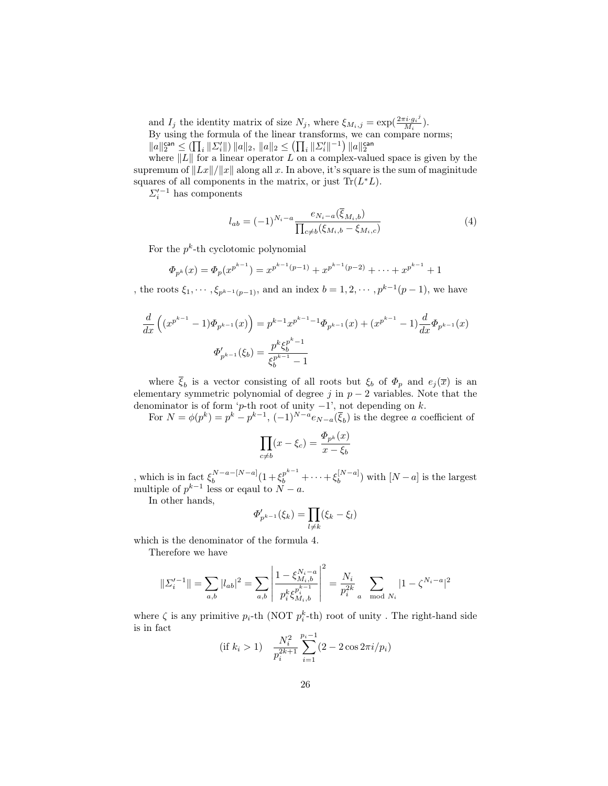and  $I_j$  the identity matrix of size  $N_j$ , where  $\xi_{M_i,j} = \exp(\frac{2\pi i \cdot g_i}{M_i})$  $\frac{a \cdot g_i}{M_i}$ ). By using the formula of the linear transforms, we can compare norms;  $\|a\|_2^{\mathsf{can}} \leq (\prod_i \| \varSigma_i' \|) \|a\|_2, \|a\|_2 \leq (\prod_i \| \varSigma_i' \|^{-1}) \|a\|_2^{\mathsf{can}}$ 

where  $||L||$  for a linear operator L on a complex-valued space is given by the supremum of  $||Lx||/||x||$  along all x. In above, it's square is the sum of maginitude squares of all components in the matrix, or just  $\text{Tr}(L^*L)$ .

 $\sum_{i}^{\prime -1}$  has components

$$
l_{ab} = (-1)^{N_i - a} \frac{e_{N_i - a}(\xi_{M_i, b})}{\prod_{c \neq b} (\xi_{M_i, b} - \xi_{M_i, c})}
$$
(4)

For the  $p^k$ -th cyclotomic polynomial

$$
\Phi_{p^k}(x) = \Phi_p(x^{p^{k-1}}) = x^{p^{k-1}(p-1)} + x^{p^{k-1}(p-2)} + \dots + x^{p^{k-1}} + 1
$$

, the roots  $\xi_1, \dots, \xi_{p^{k-1}(p-1)}$ , and an index  $b = 1, 2, \dots, p^{k-1}(p-1)$ , we have

$$
\frac{d}{dx}\left((x^{p^{k-1}}-1)\Phi_{p^{k-1}}(x)\right) = p^{k-1}x^{p^{k-1}-1}\Phi_{p^{k-1}}(x) + (x^{p^{k-1}}-1)\frac{d}{dx}\Phi_{p^{k-1}}(x)
$$

$$
\Phi'_{p^{k-1}}(\xi_b) = \frac{p^k\xi_b^{p^k-1}}{\xi_b^{p^{k-1}}-1}
$$

where  $\xi_b$  is a vector consisting of all roots but  $\xi_b$  of  $\Phi_p$  and  $e_j(\overline{x})$  is an elementary symmetric polynomial of degree j in  $p-2$  variables. Note that the denominator is of form 'p-th root of unity  $-1$ ', not depending on k.

For  $N = \phi(p^k) = p^k - p^{k-1}$ ,  $(-1)^{N-a} e_{N-a}(\bar{\xi}_b)$  is the degree a coefficient of

$$
\prod_{c \neq b} (x - \xi_c) = \frac{\Phi_{p^k}(x)}{x - \xi_b}
$$

, which is in fact  $\xi_b^{N-a-[N-a]}$  $b_b^{N-a-[N-a]}(1+\xi_b^{p^{k-1}}+\cdots+\xi_b^{[N-a]}$  $\binom{[N-a]}{b}$  with  $[N-a]$  is the largest multiple of  $p^{k-1}$  less or eqaul to  $N - a$ .

In other hands,

$$
\Phi'_{p^{k-1}}(\xi_k) = \prod_{l \neq k} (\xi_k - \xi_l)
$$

which is the denominator of the formula 4.

Therefore we have

$$
||\Sigma_i'^{-1}|| = \sum_{a,b} |l_{ab}|^2 = \sum_{a,b} \left| \frac{1 - \xi_{M_i,b}^{N_i - a}}{p_i^k \xi_{M_i,b}^{p_i^{k-1}}}\right|^2 = \frac{N_i}{p_i^{2k}} \sum_{a \mod N_i} |1 - \zeta^{N_i - a}|^2
$$

where  $\zeta$  is any primitive  $p_i$ -th (NOT  $p_i^k$ -th) root of unity. The right-hand side is in fact

(if 
$$
k_i > 1
$$
) 
$$
\frac{N_i^2}{p_i^{2k+1}} \sum_{i=1}^{p_i-1} (2 - 2\cos 2\pi i/p_i)
$$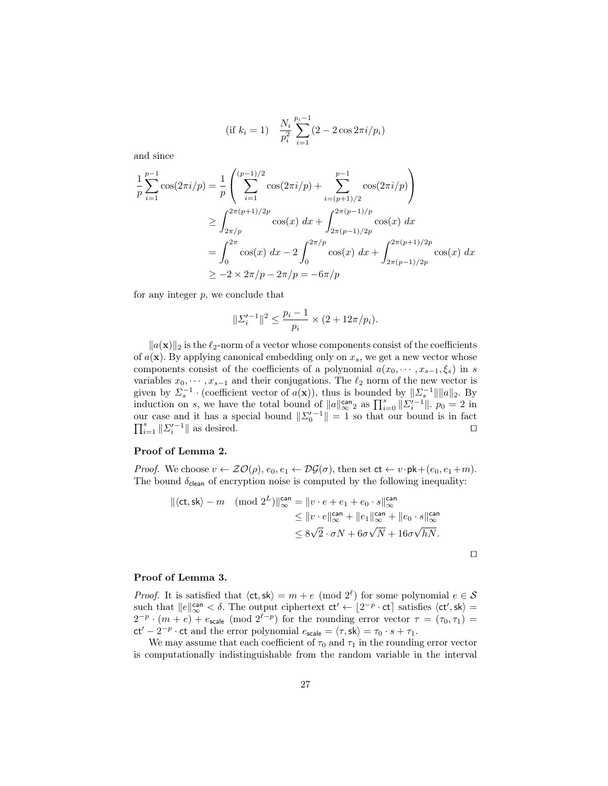(if 
$$
k_i = 1
$$
) 
$$
\frac{N_i}{p_i^2} \sum_{i=1}^{p_i - 1} (2 - 2 \cos 2\pi i / p_i)
$$

and since

$$
\frac{1}{p} \sum_{i=1}^{p-1} \cos(2\pi i/p) = \frac{1}{p} \left( \sum_{i=1}^{(p-1)/2} \cos(2\pi i/p) + \sum_{i=(p+1)/2}^{p-1} \cos(2\pi i/p) \right)
$$
\n
$$
\geq \int_{2\pi/p}^{2\pi(p+1)/2p} \cos(x) dx + \int_{2\pi(p-1)/2p}^{2\pi(p-1)/p} \cos(x) dx
$$
\n
$$
= \int_{0}^{2\pi} \cos(x) dx - 2 \int_{0}^{2\pi/p} \cos(x) dx + \int_{2\pi(p-1)/2p}^{2\pi(p+1)/2p} \cos(x) dx
$$
\n
$$
\geq -2 \times 2\pi/p - 2\pi/p = -6\pi/p
$$

for any integer  $p$ , we conclude that

$$
||\Sigma_i'^{-1}||^2 \le \frac{p_i - 1}{p_i} \times (2 + 12\pi/p_i).
$$

 $||a(\mathbf{x})||_2$  is the  $\ell_2$ -norm of a vector whose components consist of the coefficients of  $a(\mathbf{x})$ . By applying canonical embedding only on  $x_s$ , we get a new vector whose components consist of the coefficients of a polynomial  $a(x_0, \dots, x_{s-1}, \xi_s)$  in s variables  $x_0, \dots, x_{s-1}$  and their conjugations. The  $\ell_2$  norm of the new vector is given by  $\Sigma_s^{-1}$  · (coefficient vector of  $a(\mathbf{x})$ ), thus is bounded by  $\|\Sigma_s^{-1}\|\|a\|_2$ . By induction on s, we have the total bound of  $||a||_{\infty}^{\text{can}}$  as  $\prod_{i=0}^{s} ||\sum_{i=1}^{s}||_{\infty}^{\infty} = 2$  in our case and it has a special bound  $||\Sigma_0^{\prime -1}|| = 1$  so that our bound is in fact  $\prod_{i=1}^s \| \Sigma_i'^{-1} \|$  as desired.

#### Proof of Lemma 2.

*Proof.* We choose  $v \leftarrow \mathcal{ZO}(\rho), e_0, e_1 \leftarrow \mathcal{DG}(\sigma),$  then set  $ct \leftarrow v \cdot pk + (e_0, e_1 + m)$ . The bound  $\delta_{\text{clean}}$  of encryption noise is computed by the following inequality:

$$
\|\langle \mathsf{ct}, \mathsf{sk}\rangle - m \pmod{2^L}\|_{\infty}^{\mathsf{can}} = \|v \cdot e + e_1 + e_0 \cdot s\|_{\infty}^{\mathsf{can}}
$$
  

$$
\leq \|v \cdot e\|_{\infty}^{\mathsf{can}} + \|e_1\|_{\infty}^{\mathsf{can}} + \|e_0 \cdot s\|_{\infty}^{\mathsf{can}}
$$
  

$$
\leq 8\sqrt{2} \cdot \sigma N + 6\sigma \sqrt{N} + 16\sigma \sqrt{hN}.
$$

$$
\Box
$$

#### Proof of Lemma 3.

*Proof.* It is satisfied that  $\langle ct, sk \rangle = m + e \pmod{2^{\ell}}$  for some polynomial  $e \in S$ such that  $||e||_{\infty}^{\text{can}} < \delta$ . The output ciphertext  $ct' \leftarrow [2^{-p} \cdot ct]$  satisfies  $\langle ct', sk \rangle =$  $2^{-p} \cdot (m+e) + e_{\text{scale}}$  (mod  $2^{\ell-p}$ ) for the rounding error vector  $\tau = (\tau_0, \tau_1)$  $ct' - 2^{-p} \cdot ct$  and the error polynomial  $e_{scale} = \langle \tau, sk \rangle = \tau_0 \cdot s + \tau_1$ .

We may assume that each coefficient of  $\tau_0$  and  $\tau_1$  in the rounding error vector is computationally indistinguishable from the random variable in the interval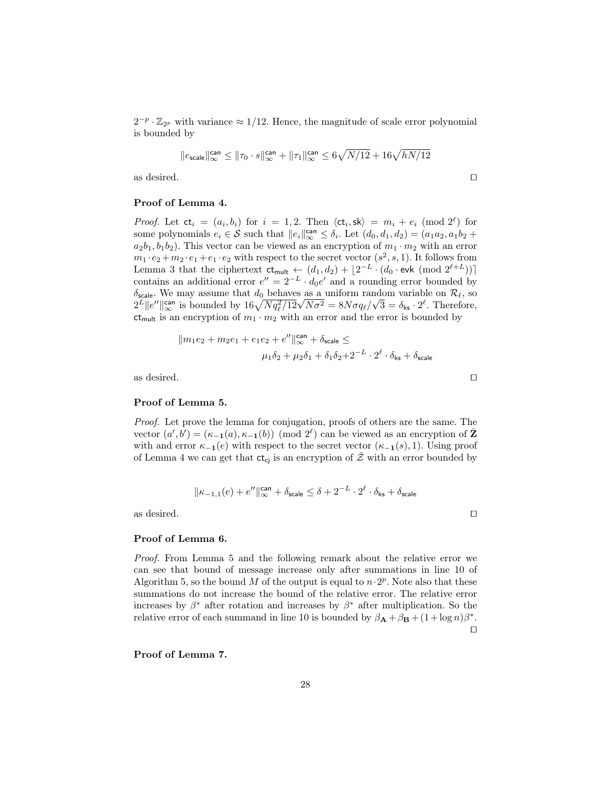$2^{-p} \cdot \mathbb{Z}_{2^p}$  with variance  $\approx 1/12$ . Hence, the magnitude of scale error polynomial is bounded by

$$
||e_{\text{scale}}||_{\infty}^{\text{can}} \le ||\tau_0 \cdot s||_{\infty}^{\text{can}} + ||\tau_1||_{\infty}^{\text{can}} \le 6\sqrt{N/12} + 16\sqrt{hN/12}
$$

as desired.  $\Box$ 

#### Proof of Lemma 4.

*Proof.* Let  $ct_i = (a_i, b_i)$  for  $i = 1, 2$ . Then  $\langle ct_i, sk \rangle = m_i + e_i \pmod{2^{\ell}}$  for some polynomials  $e_i \in \mathcal{S}$  such that  $||e_i||_{\infty}^{\text{can}} \leq \delta_i$ . Let  $(d_0, d_1, d_2) = (a_1 a_2, a_1 b_2 +$  $a_2b_1, b_1b_2$ ). This vector can be viewed as an encryption of  $m_1 \cdot m_2$  with an error  $m_1 \cdot e_2 + m_2 \cdot e_1 + e_1 \cdot e_2$  with respect to the secret vector  $(s^2, s, 1)$ . It follows from Lemma 3 that the ciphertext  $ct_{mult} \leftarrow (d_1, d_2) + \lfloor 2^{-L} \cdot (d_0 \cdot \text{evk} \pmod{2^{\ell+L}}) \rfloor$ contains an additional error  $e'' = 2^{-L} \cdot d_0 e'$  and a rounding error bounded by  $\delta_{\text{scale}}$ . We may assume that  $d_0$  behaves as a uniform random variable on  $\mathcal{R}_{\ell}$ , so  $\sigma_{\text{scale}}$ . We may assume that  $a_0$  behaves as a uniform rance  $2^L ||e''||_{\infty}^{\infty}$  is bounded by  $16\sqrt{Nq_{\ell}^2/12}\sqrt{N\sigma^2} = 8N\sigma q_{\ell}/\sqrt{N}$  $\overline{3} = \delta_{\mathsf{ks}} \cdot 2^{\ell}$ . Therefore,  $ct_{mult}$  is an encryption of  $m_1 \cdot m_2$  with an error and the error is bounded by

$$
||m_1e_2 + m_2e_1 + e_1e_2 + e''||_{\infty}^{\text{can}} + \delta_{\text{scale}} \le
$$
  

$$
\mu_1 \delta_2 + \mu_2 \delta_1 + \delta_1 \delta_2 + 2^{-L} \cdot 2^{\ell} \cdot \delta_{\text{ks}} + \delta_{\text{scale}}
$$

as desired.  $\hfill \square$ 

#### Proof of Lemma 5.

Proof. Let prove the lemma for conjugation, proofs of others are the same. The vector  $(a', b') = (\kappa_{-1}(a), \kappa_{-1}(b)) \pmod{2^{\ell}}$  can be viewed as an encryption of  $\bar{Z}$ with and error  $\kappa_{-1}(e)$  with respect to the secret vector  $(\kappa_{-1}(s), 1)$ . Using proof of Lemma 4 we can get that  $ct_{cj}$  is an encryption of  $\overline{Z}$  with an error bounded by

$$
\|\kappa_{-1,1}(e)+e''\|_{\infty}^{\mathrm{can}}+\delta_{\mathrm{scale}}\leq \delta+2^{-L}\cdot 2^{\ell}\cdot \delta_{\mathrm{ks}}+\delta_{\mathrm{scale}}
$$

as desired.  $\hfill \square$ 

#### Proof of Lemma 6.

Proof. From Lemma 5 and the following remark about the relative error we can see that bound of message increase only after summations in line 10 of Algorithm 5, so the bound M of the output is equal to  $n \cdot 2^p$ . Note also that these summations do not increase the bound of the relative error. The relative error increases by  $\beta^*$  after rotation and increases by  $\beta^*$  after multiplication. So the relative error of each summand in line 10 is bounded by  $\beta_{\mathbf{A}} + \beta_{\mathbf{B}} + (1 + \log n)\beta^*$ .  $\Box$ 

Proof of Lemma 7.